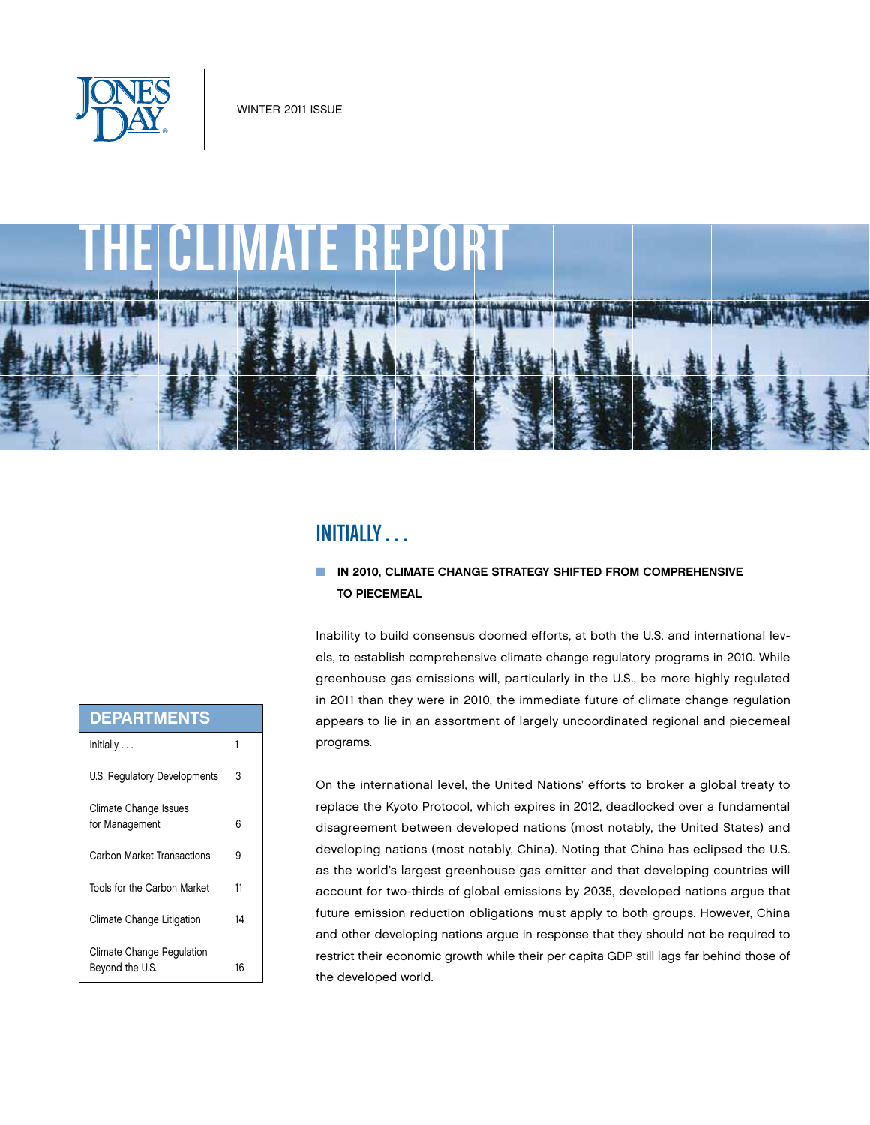



# Initially . . .

# $\blacksquare$  IN 2010, CLIMATE CHANGE STRATEGY SHIFTED FROM COMPREHENSIVE **TO PIECEMEAL**

Inability to build consensus doomed efforts, at both the U.S. and international levels, to establish comprehensive climate change regulatory programs in 2010. While greenhouse gas emissions will, particularly in the U.S., be more highly regulated in 2011 than they were in 2010, the immediate future of climate change regulation appears to lie in an assortment of largely uncoordinated regional and piecemeal programs.

On the international level, the United Nations' efforts to broker a global treaty to replace the Kyoto Protocol, which expires in 2012, deadlocked over a fundamental disagreement between developed nations (most notably, the United States) and developing nations (most notably, China). Noting that China has eclipsed the U.S. as the world's largest greenhouse gas emitter and that developing countries will account for two-thirds of global emissions by 2035, developed nations argue that future emission reduction obligations must apply to both groups. However, China and other developing nations argue in response that they should not be required to restrict their economic growth while their per capita GDP still lags far behind those of the developed world.

| <b>DEPARTMENTS</b>           |    |
|------------------------------|----|
| Initially                    | 1  |
| U.S. Regulatory Developments | 3  |
| Climate Change Issues        |    |
| for Management               | 6  |
| Carbon Market Transactions   | 9  |
| Tools for the Carbon Market  | 11 |
| Climate Change Litigation    | 14 |
| Climate Change Regulation    |    |
| Beyond the U.S.              | 16 |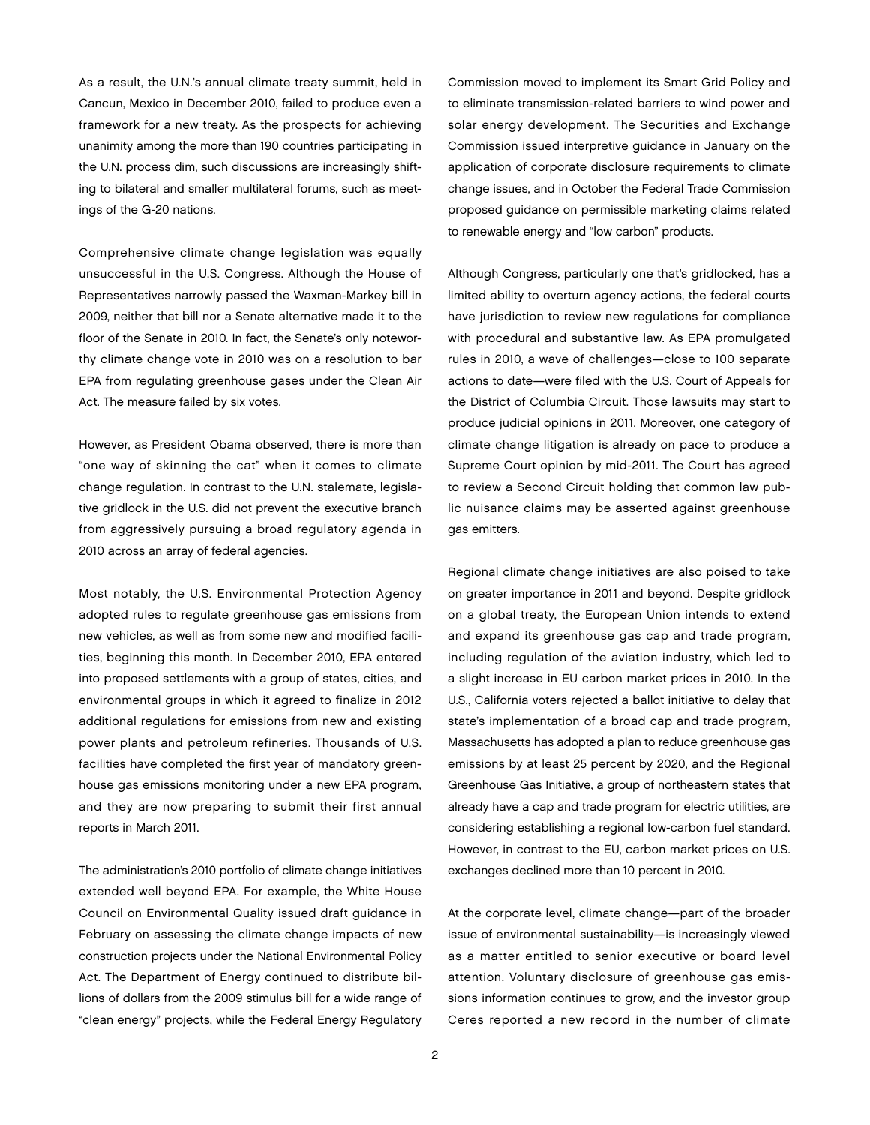As a result, the U.N.'s annual climate treaty summit, held in Cancun, Mexico in December 2010, failed to produce even a framework for a new treaty. As the prospects for achieving unanimity among the more than 190 countries participating in the U.N. process dim, such discussions are increasingly shifting to bilateral and smaller multilateral forums, such as meetings of the G-20 nations.

Comprehensive climate change legislation was equally unsuccessful in the U.S. Congress. Although the House of Representatives narrowly passed the Waxman-Markey bill in 2009, neither that bill nor a Senate alternative made it to the floor of the Senate in 2010. In fact, the Senate's only noteworthy climate change vote in 2010 was on a resolution to bar EPA from regulating greenhouse gases under the Clean Air Act. The measure failed by six votes.

However, as President Obama observed, there is more than "one way of skinning the cat" when it comes to climate change regulation. In contrast to the U.N. stalemate, legislative gridlock in the U.S. did not prevent the executive branch from aggressively pursuing a broad regulatory agenda in 2010 across an array of federal agencies.

Most notably, the U.S. Environmental Protection Agency adopted rules to regulate greenhouse gas emissions from new vehicles, as well as from some new and modified facilities, beginning this month. In December 2010, EPA entered into proposed settlements with a group of states, cities, and environmental groups in which it agreed to finalize in 2012 additional regulations for emissions from new and existing power plants and petroleum refineries. Thousands of U.S. facilities have completed the first year of mandatory greenhouse gas emissions monitoring under a new EPA program, and they are now preparing to submit their first annual reports in March 2011.

The administration's 2010 portfolio of climate change initiatives extended well beyond EPA. For example, the White House Council on Environmental Quality issued draft guidance in February on assessing the climate change impacts of new construction projects under the National Environmental Policy Act. The Department of Energy continued to distribute billions of dollars from the 2009 stimulus bill for a wide range of "clean energy" projects, while the Federal Energy Regulatory

Commission moved to implement its Smart Grid Policy and to eliminate transmission-related barriers to wind power and solar energy development. The Securities and Exchange Commission issued interpretive guidance in January on the application of corporate disclosure requirements to climate change issues, and in October the Federal Trade Commission proposed guidance on permissible marketing claims related to renewable energy and "low carbon" products.

Although Congress, particularly one that's gridlocked, has a limited ability to overturn agency actions, the federal courts have jurisdiction to review new regulations for compliance with procedural and substantive law. As EPA promulgated rules in 2010, a wave of challenges—close to 100 separate actions to date—were filed with the U.S. Court of Appeals for the District of Columbia Circuit. Those lawsuits may start to produce judicial opinions in 2011. Moreover, one category of climate change litigation is already on pace to produce a Supreme Court opinion by mid-2011. The Court has agreed to review a Second Circuit holding that common law public nuisance claims may be asserted against greenhouse gas emitters.

Regional climate change initiatives are also poised to take on greater importance in 2011 and beyond. Despite gridlock on a global treaty, the European Union intends to extend and expand its greenhouse gas cap and trade program, including regulation of the aviation industry, which led to a slight increase in EU carbon market prices in 2010. In the U.S., California voters rejected a ballot initiative to delay that state's implementation of a broad cap and trade program, Massachusetts has adopted a plan to reduce greenhouse gas emissions by at least 25 percent by 2020, and the Regional Greenhouse Gas Initiative, a group of northeastern states that already have a cap and trade program for electric utilities, are considering establishing a regional low-carbon fuel standard. However, in contrast to the EU, carbon market prices on U.S. exchanges declined more than 10 percent in 2010.

At the corporate level, climate change—part of the broader issue of environmental sustainability—is increasingly viewed as a matter entitled to senior executive or board level attention. Voluntary disclosure of greenhouse gas emissions information continues to grow, and the investor group Ceres reported a new record in the number of climate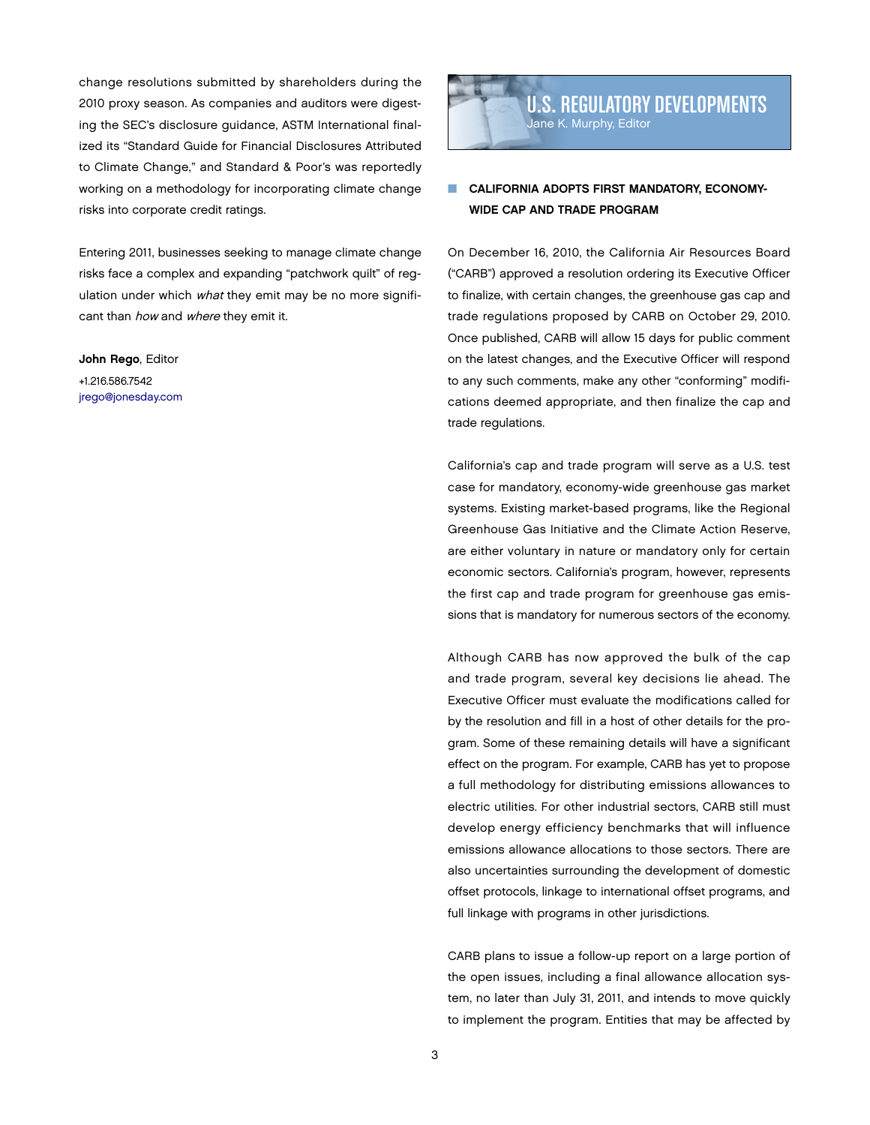change resolutions submitted by shareholders during the 2010 proxy season. As companies and auditors were digesting the SEC's disclosure guidance, ASTM International finalized its "Standard Guide for Financial Disclosures Attributed to Climate Change," and Standard & Poor's was reportedly working on a methodology for incorporating climate change risks into corporate credit ratings.

Entering 2011, businesses seeking to manage climate change risks face a complex and expanding "patchwork quilt" of regulation under which what they emit may be no more significant than how and where they emit it.

John Rego, Editor +1.216.586.7542 [jrego@jonesday.com](mailto:jrego@jonesday.com)



# CALIFORNIA ADOPTS FIRST MANDATORY, ECONOMY-Wide Cap and Trade Program

On December 16, 2010, the California Air Resources Board ("CARB") approved a resolution ordering its Executive Officer to finalize, with certain changes, the greenhouse gas cap and trade regulations proposed by CARB on October 29, 2010. Once published, CARB will allow 15 days for public comment on the latest changes, and the Executive Officer will respond to any such comments, make any other "conforming" modifications deemed appropriate, and then finalize the cap and trade regulations.

California's cap and trade program will serve as a U.S. test case for mandatory, economy-wide greenhouse gas market systems. Existing market-based programs, like the Regional Greenhouse Gas Initiative and the Climate Action Reserve, are either voluntary in nature or mandatory only for certain economic sectors. California's program, however, represents the first cap and trade program for greenhouse gas emissions that is mandatory for numerous sectors of the economy.

Although CARB has now approved the bulk of the cap and trade program, several key decisions lie ahead. The Executive Officer must evaluate the modifications called for by the resolution and fill in a host of other details for the program. Some of these remaining details will have a significant effect on the program. For example, CARB has yet to propose a full methodology for distributing emissions allowances to electric utilities. For other industrial sectors, CARB still must develop energy efficiency benchmarks that will influence emissions allowance allocations to those sectors. There are also uncertainties surrounding the development of domestic offset protocols, linkage to international offset programs, and full linkage with programs in other jurisdictions.

CARB plans to issue a follow-up report on a large portion of the open issues, including a final allowance allocation system, no later than July 31, 2011, and intends to move quickly to implement the program. Entities that may be affected by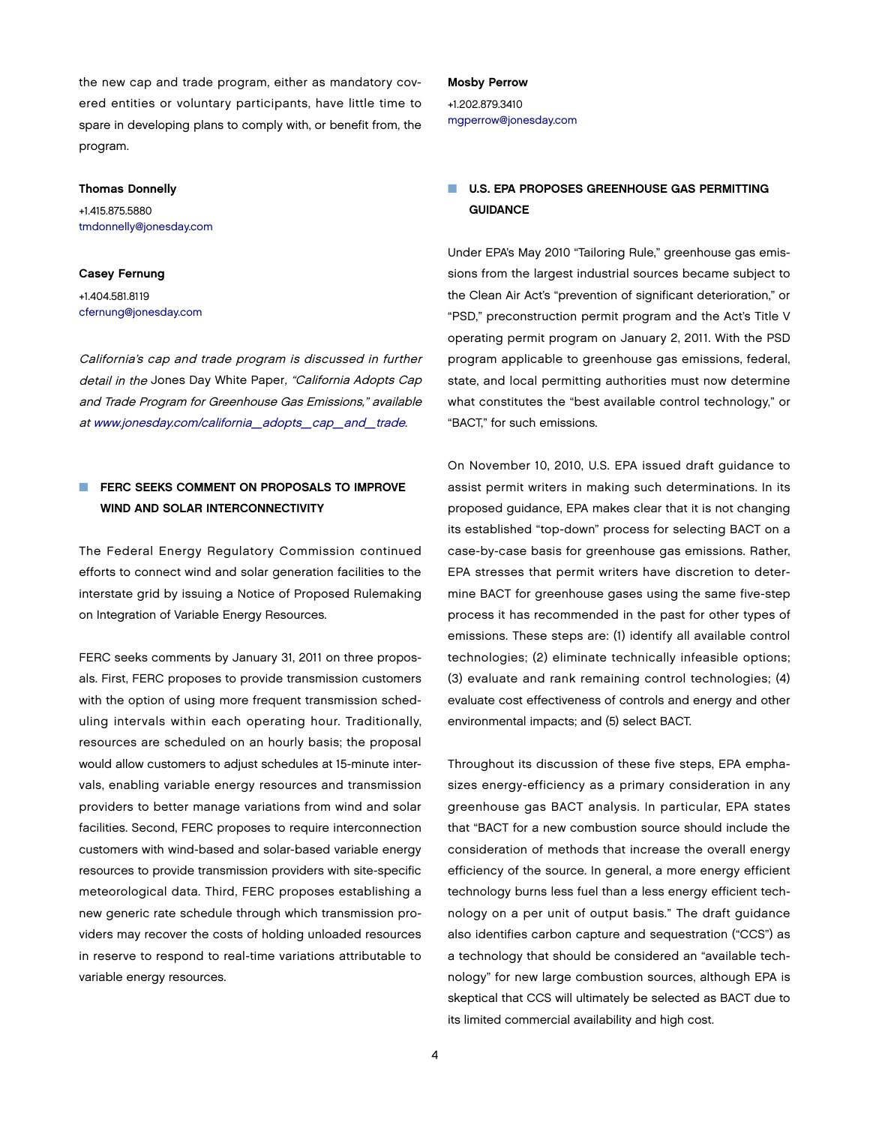the new cap and trade program, either as mandatory covered entities or voluntary participants, have little time to spare in developing plans to comply with, or benefit from, the program.

### Thomas Donnelly

+1.415.875.5880 [tmdonnelly@jonesday.com](mailto:tmdonnelly@jonesday.com)

### Casey Fernung

+1.404.581.8119 [cfernung@jonesday.com](mailto:cfernung@jonesday.com)

California's cap and trade program is discussed in further detail in the Jones Day White Paper, "California Adopts Cap and Trade Program for Greenhouse Gas Emissions," available at [www.jonesday.com/california\\_adopts\\_cap\\_and\\_trade.](http://www.jonesday.com/california_adopts_cap_and_trade)

# **NUMERIAN FERC SEEKS COMMENT ON PROPOSALS TO IMPROVE** WIND AND SOLAR INTERCONNECTIVITY

The Federal Energy Regulatory Commission continued efforts to connect wind and solar generation facilities to the interstate grid by issuing a Notice of Proposed Rulemaking on Integration of Variable Energy Resources.

FERC seeks comments by January 31, 2011 on three proposals. First, FERC proposes to provide transmission customers with the option of using more frequent transmission scheduling intervals within each operating hour. Traditionally, resources are scheduled on an hourly basis; the proposal would allow customers to adjust schedules at 15-minute intervals, enabling variable energy resources and transmission providers to better manage variations from wind and solar facilities. Second, FERC proposes to require interconnection customers with wind-based and solar-based variable energy resources to provide transmission providers with site-specific meteorological data. Third, FERC proposes establishing a new generic rate schedule through which transmission providers may recover the costs of holding unloaded resources in reserve to respond to real-time variations attributable to variable energy resources.

#### Mosby Perrow

+1.202.879.3410 [mgperrow@jonesday.com](mailto:mgperrow@jonesday.com)

## U.S. EPA PROPOSES GREENHOUSE GAS PERMITTING **GUIDANCE**

Under EPA's May 2010 "Tailoring Rule," greenhouse gas emissions from the largest industrial sources became subject to the Clean Air Act's "prevention of significant deterioration," or "PSD," preconstruction permit program and the Act's Title V operating permit program on January 2, 2011. With the PSD program applicable to greenhouse gas emissions, federal, state, and local permitting authorities must now determine what constitutes the "best available control technology," or "BACT," for such emissions.

On November 10, 2010, U.S. EPA issued draft guidance to assist permit writers in making such determinations. In its proposed guidance, EPA makes clear that it is not changing its established "top-down" process for selecting BACT on a case-by-case basis for greenhouse gas emissions. Rather, EPA stresses that permit writers have discretion to determine BACT for greenhouse gases using the same five-step process it has recommended in the past for other types of emissions. These steps are: (1) identify all available control technologies; (2) eliminate technically infeasible options; (3) evaluate and rank remaining control technologies; (4) evaluate cost effectiveness of controls and energy and other environmental impacts; and (5) select BACT.

Throughout its discussion of these five steps, EPA emphasizes energy-efficiency as a primary consideration in any greenhouse gas BACT analysis. In particular, EPA states that "BACT for a new combustion source should include the consideration of methods that increase the overall energy efficiency of the source. In general, a more energy efficient technology burns less fuel than a less energy efficient technology on a per unit of output basis." The draft guidance also identifies carbon capture and sequestration ("CCS") as a technology that should be considered an "available technology" for new large combustion sources, although EPA is skeptical that CCS will ultimately be selected as BACT due to its limited commercial availability and high cost.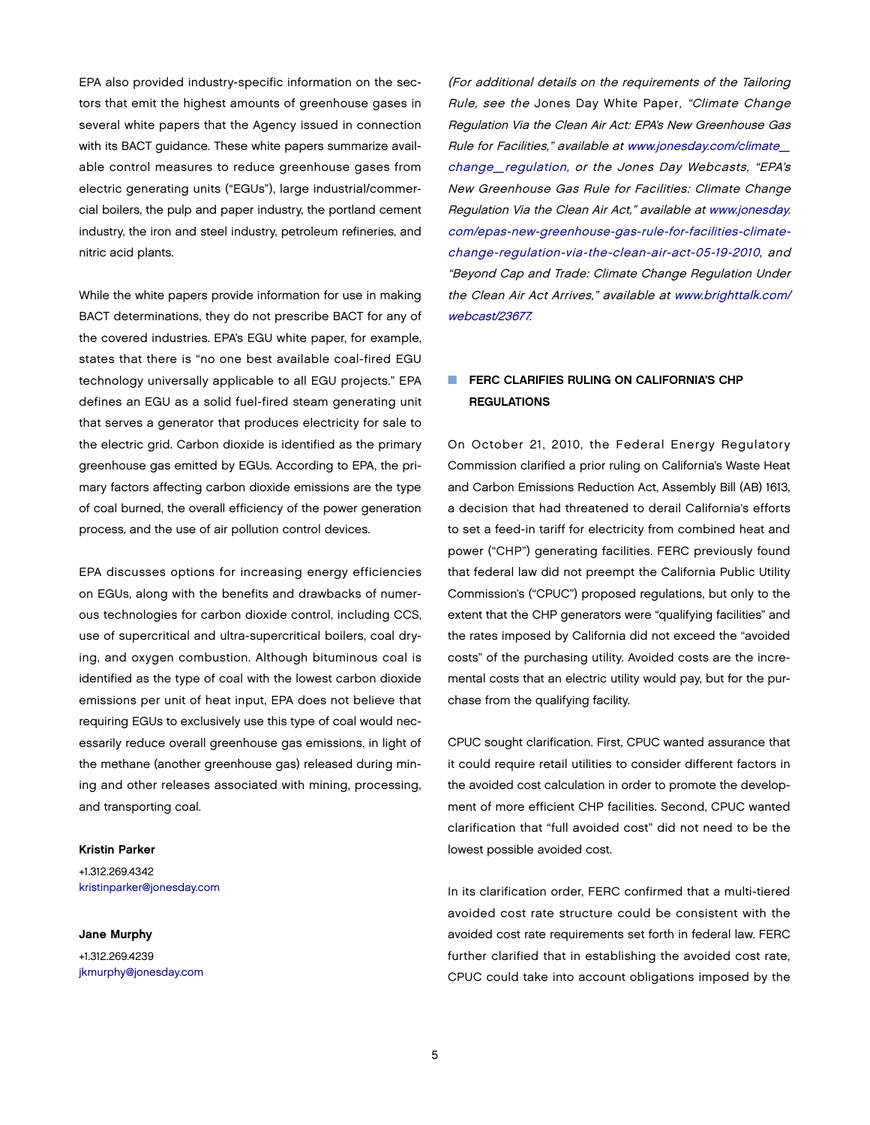EPA also provided industry-specific information on the sectors that emit the highest amounts of greenhouse gases in several white papers that the Agency issued in connection with its BACT guidance. These white papers summarize available control measures to reduce greenhouse gases from electric generating units ("EGUs"), large industrial/commercial boilers, the pulp and paper industry, the portland cement industry, the iron and steel industry, petroleum refineries, and nitric acid plants.

While the white papers provide information for use in making BACT determinations, they do not prescribe BACT for any of the covered industries. EPA's EGU white paper, for example, states that there is "no one best available coal-fired EGU technology universally applicable to all EGU projects." EPA defines an EGU as a solid fuel-fired steam generating unit that serves a generator that produces electricity for sale to the electric grid. Carbon dioxide is identified as the primary greenhouse gas emitted by EGUs. According to EPA, the primary factors affecting carbon dioxide emissions are the type of coal burned, the overall efficiency of the power generation process, and the use of air pollution control devices.

EPA discusses options for increasing energy efficiencies on EGUs, along with the benefits and drawbacks of numerous technologies for carbon dioxide control, including CCS, use of supercritical and ultra-supercritical boilers, coal drying, and oxygen combustion. Although bituminous coal is identified as the type of coal with the lowest carbon dioxide emissions per unit of heat input, EPA does not believe that requiring EGUs to exclusively use this type of coal would necessarily reduce overall greenhouse gas emissions, in light of the methane (another greenhouse gas) released during mining and other releases associated with mining, processing, and transporting coal.

### Kristin Parker

+1.312.269.4342 [kristinparker@jonesday.com](mailto:kristinparker@jonesday.com)

### Jane Murphy

+1.312.269.4239 [jkmurphy@jonesday.com](mailto:jkmurphy@jonesday.com) (For additional details on the requirements of the Tailoring Rule, see the Jones Day White Paper, "Climate Change Regulation Via the Clean Air Act: EPA's New Greenhouse Gas Rule for Facilities," available at [www.jonesday.com/climate\\_](http://www.jonesday.com/climate_) change\_regulation, or the Jones Day Webcasts, "EPA's New Greenhouse Gas Rule for Facilities: Climate Change Regulation Via the Clean Air Act," available at [www.jonesday.](http://www.jonesday) com/epas-new-greenhouse-gas-rule-for-facilities-climatechange-regulation-via-the-clean-air-act-05-19-2010, and "Beyond Cap and Trade: Climate Change Regulation Under the Clean Air Act Arrives," available at [www.brighttalk.com/](http://www.brighttalk.com/) webcast/23677.

## **FERC CLARIFIES RULING ON CALIFORNIA'S CHP REGULATIONS**

On October 21, 2010, the Federal Energy Regulatory Commission clarified a prior ruling on California's Waste Heat and Carbon Emissions Reduction Act, Assembly Bill (AB) 1613, a decision that had threatened to derail California's efforts to set a feed-in tariff for electricity from combined heat and power ("CHP") generating facilities. FERC previously found that federal law did not preempt the California Public Utility Commission's ("CPUC") proposed regulations, but only to the extent that the CHP generators were "qualifying facilities" and the rates imposed by California did not exceed the "avoided costs" of the purchasing utility. Avoided costs are the incremental costs that an electric utility would pay, but for the purchase from the qualifying facility.

CPUC sought clarification. First, CPUC wanted assurance that it could require retail utilities to consider different factors in the avoided cost calculation in order to promote the development of more efficient CHP facilities. Second, CPUC wanted clarification that "full avoided cost" did not need to be the lowest possible avoided cost.

In its clarification order, FERC confirmed that a multi-tiered avoided cost rate structure could be consistent with the avoided cost rate requirements set forth in federal law. FERC further clarified that in establishing the avoided cost rate, CPUC could take into account obligations imposed by the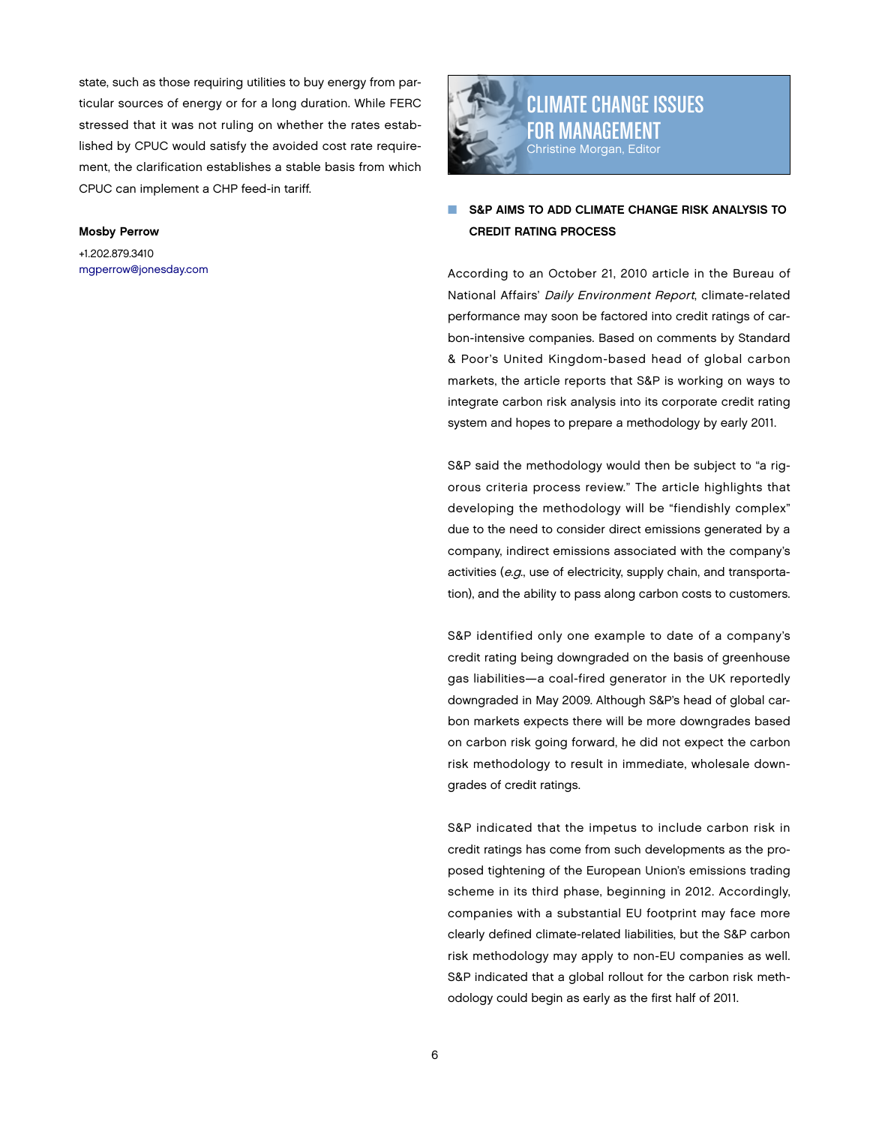state, such as those requiring utilities to buy energy from particular sources of energy or for a long duration. While FERC stressed that it was not ruling on whether the rates established by CPUC would satisfy the avoided cost rate requirement, the clarification establishes a stable basis from which CPUC can implement a CHP feed-in tariff.

### Mosby Perrow

+1.202.879.3410 [mgperrow@jonesday.com](mailto:mgperrow@jonesday.com)



Climate Change Issues for management Christine Morgan, Editor

## S&P AIMS TO ADD CLIMATE CHANGE RISK ANALYSIS TO Credit Rating Process

According to an October 21, 2010 article in the Bureau of National Affairs' Daily Environment Report, climate-related performance may soon be factored into credit ratings of carbon-intensive companies. Based on comments by Standard & Poor's United Kingdom-based head of global carbon markets, the article reports that S&P is working on ways to integrate carbon risk analysis into its corporate credit rating system and hopes to prepare a methodology by early 2011.

S&P said the methodology would then be subject to "a rigorous criteria process review." The article highlights that developing the methodology will be "fiendishly complex" due to the need to consider direct emissions generated by a company, indirect emissions associated with the company's activities (e.g., use of electricity, supply chain, and transportation), and the ability to pass along carbon costs to customers.

S&P identified only one example to date of a company's credit rating being downgraded on the basis of greenhouse gas liabilities—a coal-fired generator in the UK reportedly downgraded in May 2009. Although S&P's head of global carbon markets expects there will be more downgrades based on carbon risk going forward, he did not expect the carbon risk methodology to result in immediate, wholesale downgrades of credit ratings.

S&P indicated that the impetus to include carbon risk in credit ratings has come from such developments as the proposed tightening of the European Union's emissions trading scheme in its third phase, beginning in 2012. Accordingly, companies with a substantial EU footprint may face more clearly defined climate-related liabilities, but the S&P carbon risk methodology may apply to non-EU companies as well. S&P indicated that a global rollout for the carbon risk methodology could begin as early as the first half of 2011.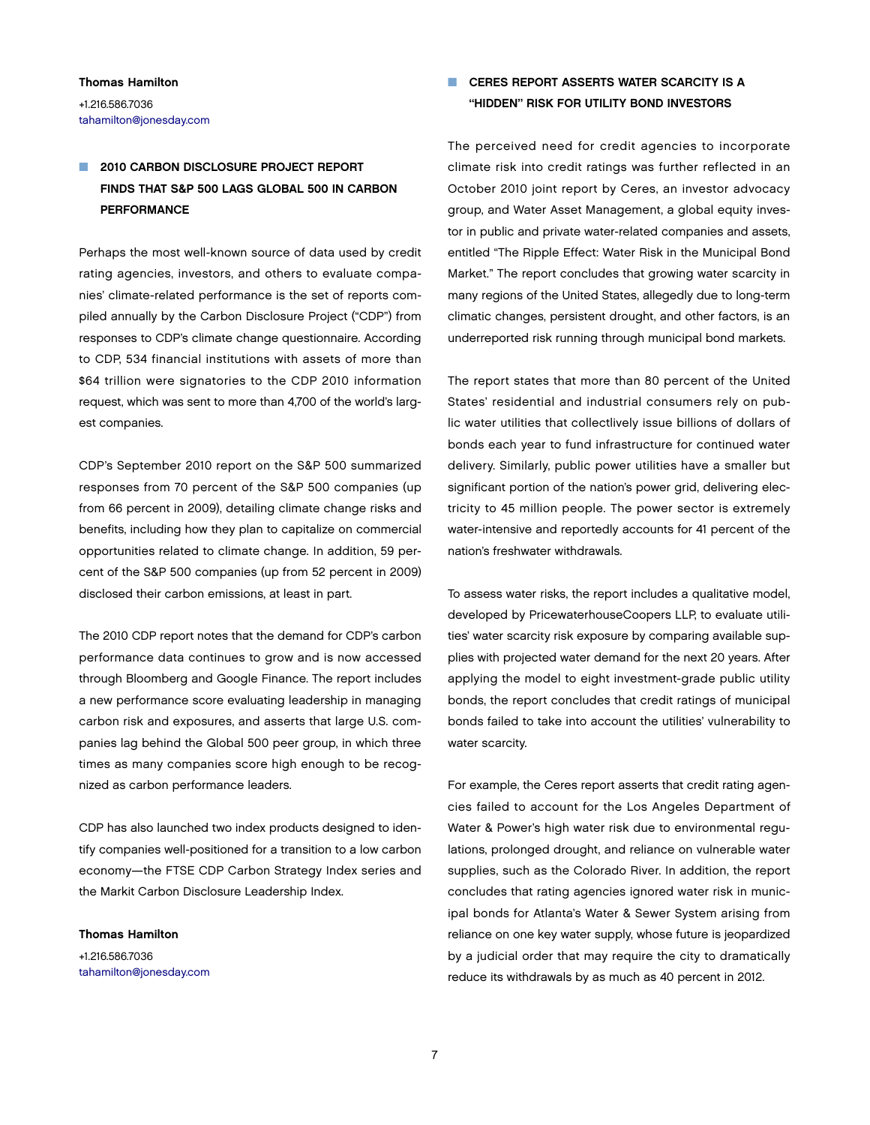Thomas Hamilton +1.216.586.7036 [tahamilton@jonesday.com](mailto:tahamilton@jonesday.com)

# 2010 CARBON DISCLOSURE PROJECT REPORT Finds that S&P 500 Lags Global 500 in Carbon **PERFORMANCE**

Perhaps the most well-known source of data used by credit rating agencies, investors, and others to evaluate companies' climate-related performance is the set of reports compiled annually by the Carbon Disclosure Project ("CDP") from responses to CDP's climate change questionnaire. According to CDP, 534 financial institutions with assets of more than \$64 trillion were signatories to the CDP 2010 information request, which was sent to more than 4,700 of the world's largest companies.

CDP's September 2010 report on the S&P 500 summarized responses from 70 percent of the S&P 500 companies (up from 66 percent in 2009), detailing climate change risks and benefits, including how they plan to capitalize on commercial opportunities related to climate change. In addition, 59 percent of the S&P 500 companies (up from 52 percent in 2009) disclosed their carbon emissions, at least in part.

The 2010 CDP report notes that the demand for CDP's carbon performance data continues to grow and is now accessed through Bloomberg and Google Finance. The report includes a new performance score evaluating leadership in managing carbon risk and exposures, and asserts that large U.S. companies lag behind the Global 500 peer group, in which three times as many companies score high enough to be recognized as carbon performance leaders.

CDP has also launched two index products designed to identify companies well-positioned for a transition to a low carbon economy—the FTSE CDP Carbon Strategy Index series and the Markit Carbon Disclosure Leadership Index.

Thomas Hamilton

+1.216.586.7036 [tahamilton@jonesday.com](mailto:tahamilton@jonesday.com)

# **NU CERES REPORT ASSERTS WATER SCARCITY IS A** "Hidden" Risk for Utility Bond Investors

The perceived need for credit agencies to incorporate climate risk into credit ratings was further reflected in an October 2010 joint report by Ceres, an investor advocacy group, and Water Asset Management, a global equity investor in public and private water-related companies and assets, entitled "The Ripple Effect: Water Risk in the Municipal Bond Market." The report concludes that growing water scarcity in many regions of the United States, allegedly due to long-term climatic changes, persistent drought, and other factors, is an underreported risk running through municipal bond markets.

The report states that more than 80 percent of the United States' residential and industrial consumers rely on public water utilities that collectlively issue billions of dollars of bonds each year to fund infrastructure for continued water delivery. Similarly, public power utilities have a smaller but significant portion of the nation's power grid, delivering electricity to 45 million people. The power sector is extremely water-intensive and reportedly accounts for 41 percent of the nation's freshwater withdrawals.

To assess water risks, the report includes a qualitative model, developed by PricewaterhouseCoopers LLP, to evaluate utilities' water scarcity risk exposure by comparing available supplies with projected water demand for the next 20 years. After applying the model to eight investment-grade public utility bonds, the report concludes that credit ratings of municipal bonds failed to take into account the utilities' vulnerability to water scarcity.

For example, the Ceres report asserts that credit rating agencies failed to account for the Los Angeles Department of Water & Power's high water risk due to environmental regulations, prolonged drought, and reliance on vulnerable water supplies, such as the Colorado River. In addition, the report concludes that rating agencies ignored water risk in municipal bonds for Atlanta's Water & Sewer System arising from reliance on one key water supply, whose future is jeopardized by a judicial order that may require the city to dramatically reduce its withdrawals by as much as 40 percent in 2012.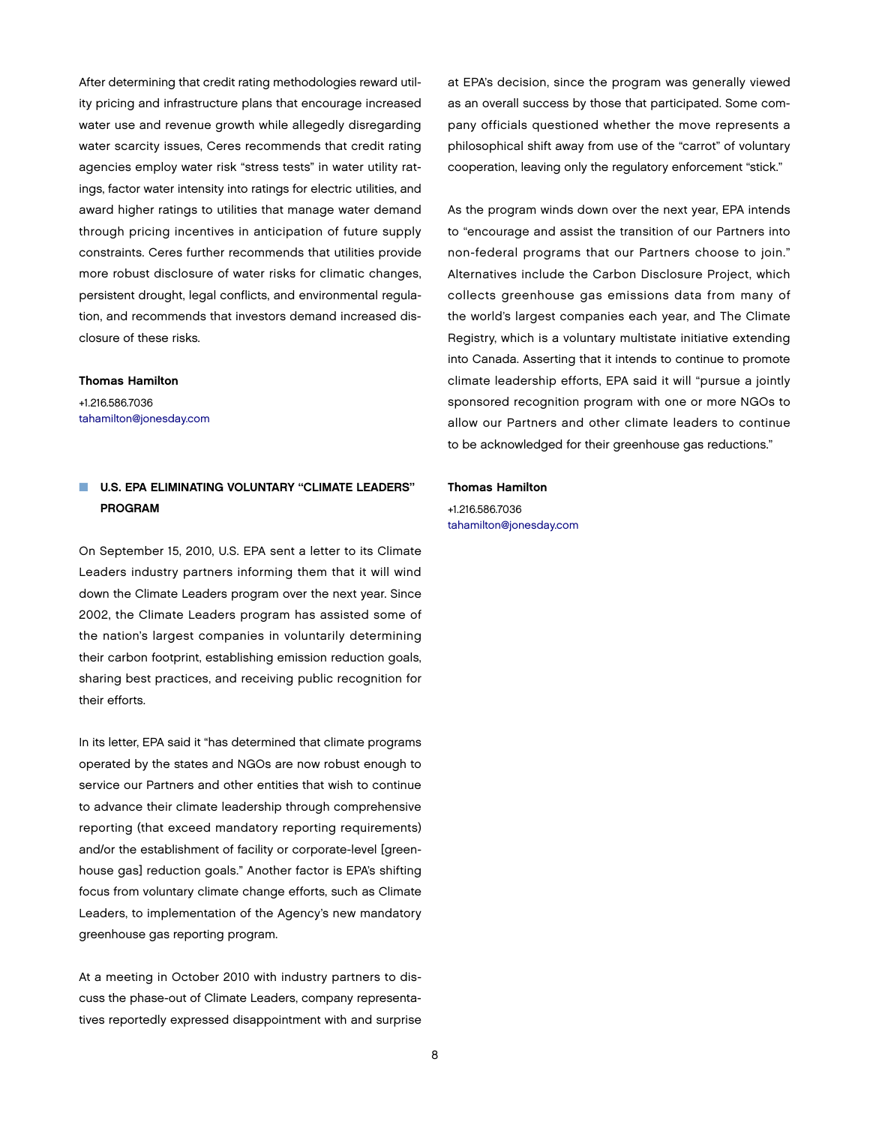After determining that credit rating methodologies reward utility pricing and infrastructure plans that encourage increased water use and revenue growth while allegedly disregarding water scarcity issues, Ceres recommends that credit rating agencies employ water risk "stress tests" in water utility ratings, factor water intensity into ratings for electric utilities, and award higher ratings to utilities that manage water demand through pricing incentives in anticipation of future supply constraints. Ceres further recommends that utilities provide more robust disclosure of water risks for climatic changes, persistent drought, legal conflicts, and environmental regulation, and recommends that investors demand increased disclosure of these risks.

### Thomas Hamilton

+1.216.586.7036 [tahamilton@jonesday.com](mailto:tahamilton@jonesday.com)

## **NU.S. EPA ELIMINATING VOLUNTARY "CLIMATE LEADERS" PROGRAM**

On September 15, 2010, U.S. EPA sent a letter to its Climate Leaders industry partners informing them that it will wind down the Climate Leaders program over the next year. Since 2002, the Climate Leaders program has assisted some of the nation's largest companies in voluntarily determining their carbon footprint, establishing emission reduction goals, sharing best practices, and receiving public recognition for their efforts.

In its letter, EPA said it "has determined that climate programs operated by the states and NGOs are now robust enough to service our Partners and other entities that wish to continue to advance their climate leadership through comprehensive reporting (that exceed mandatory reporting requirements) and/or the establishment of facility or corporate-level [greenhouse gas] reduction goals." Another factor is EPA's shifting focus from voluntary climate change efforts, such as Climate Leaders, to implementation of the Agency's new mandatory greenhouse gas reporting program.

At a meeting in October 2010 with industry partners to discuss the phase-out of Climate Leaders, company representatives reportedly expressed disappointment with and surprise at EPA's decision, since the program was generally viewed as an overall success by those that participated. Some company officials questioned whether the move represents a philosophical shift away from use of the "carrot" of voluntary cooperation, leaving only the regulatory enforcement "stick."

As the program winds down over the next year, EPA intends to "encourage and assist the transition of our Partners into non-federal programs that our Partners choose to join." Alternatives include the Carbon Disclosure Project, which collects greenhouse gas emissions data from many of the world's largest companies each year, and The Climate Registry, which is a voluntary multistate initiative extending into Canada. Asserting that it intends to continue to promote climate leadership efforts, EPA said it will "pursue a jointly sponsored recognition program with one or more NGOs to allow our Partners and other climate leaders to continue to be acknowledged for their greenhouse gas reductions."

### Thomas Hamilton

+1.216.586.7036 [tahamilton@jonesday.com](mailto:tahamilton@jonesday.com)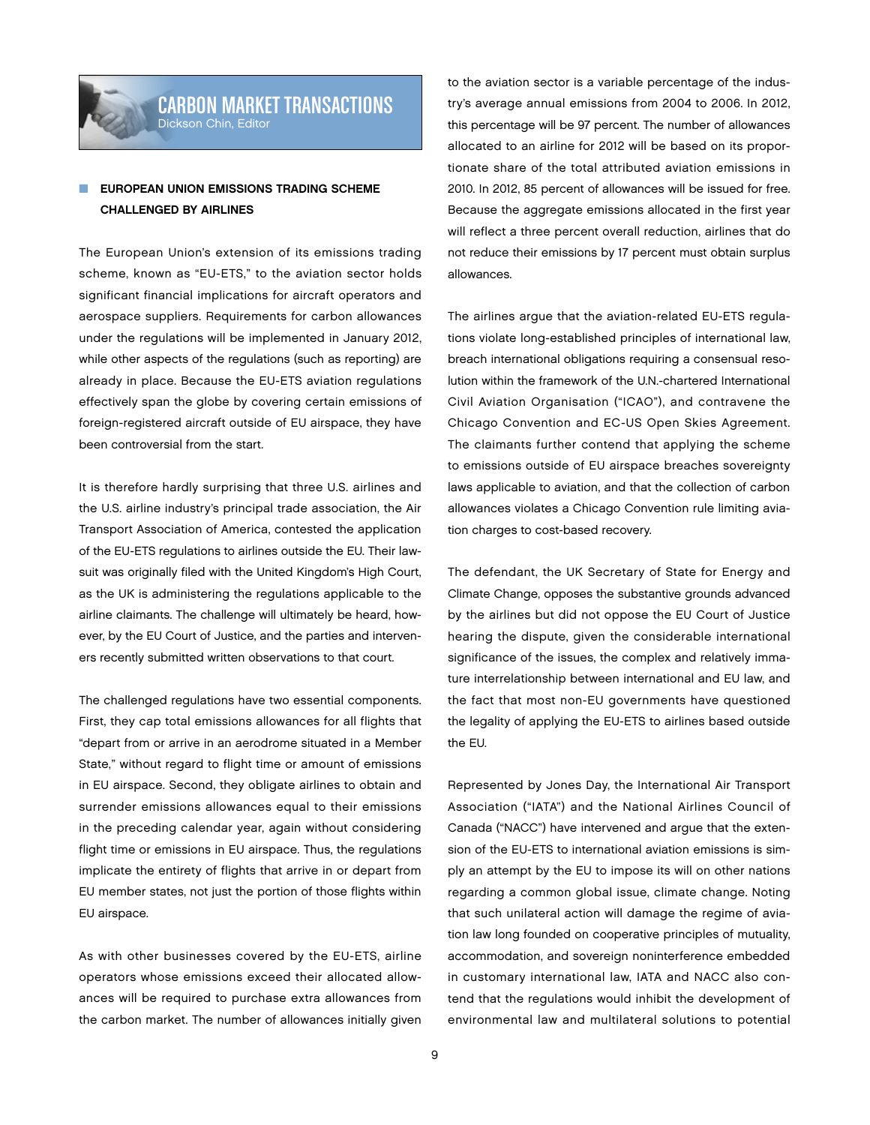

# Carbon Market Transactions Dickson Chin, Editor

# **EUROPEAN UNION EMISSIONS TRADING SCHEME** Challenged by Airlines

The European Union's extension of its emissions trading scheme, known as "EU-ETS," to the aviation sector holds significant financial implications for aircraft operators and aerospace suppliers. Requirements for carbon allowances under the regulations will be implemented in January 2012, while other aspects of the regulations (such as reporting) are already in place. Because the EU-ETS aviation regulations effectively span the globe by covering certain emissions of foreign-registered aircraft outside of EU airspace, they have been controversial from the start.

It is therefore hardly surprising that three U.S. airlines and the U.S. airline industry's principal trade association, the Air Transport Association of America, contested the application of the EU-ETS regulations to airlines outside the EU. Their lawsuit was originally filed with the United Kingdom's High Court, as the UK is administering the regulations applicable to the airline claimants. The challenge will ultimately be heard, however, by the EU Court of Justice, and the parties and interveners recently submitted written observations to that court.

The challenged regulations have two essential components. First, they cap total emissions allowances for all flights that "depart from or arrive in an aerodrome situated in a Member State," without regard to flight time or amount of emissions in EU airspace. Second, they obligate airlines to obtain and surrender emissions allowances equal to their emissions in the preceding calendar year, again without considering flight time or emissions in EU airspace. Thus, the regulations implicate the entirety of flights that arrive in or depart from EU member states, not just the portion of those flights within EU airspace.

As with other businesses covered by the EU-ETS, airline operators whose emissions exceed their allocated allowances will be required to purchase extra allowances from the carbon market. The number of allowances initially given

to the aviation sector is a variable percentage of the industry's average annual emissions from 2004 to 2006. In 2012, this percentage will be 97 percent. The number of allowances allocated to an airline for 2012 will be based on its proportionate share of the total attributed aviation emissions in 2010. In 2012, 85 percent of allowances will be issued for free. Because the aggregate emissions allocated in the first year will reflect a three percent overall reduction, airlines that do not reduce their emissions by 17 percent must obtain surplus allowances.

The airlines argue that the aviation-related EU-ETS regulations violate long-established principles of international law, breach international obligations requiring a consensual resolution within the framework of the U.N.-chartered International Civil Aviation Organisation ("ICAO"), and contravene the Chicago Convention and EC-US Open Skies Agreement. The claimants further contend that applying the scheme to emissions outside of EU airspace breaches sovereignty laws applicable to aviation, and that the collection of carbon allowances violates a Chicago Convention rule limiting aviation charges to cost-based recovery.

The defendant, the UK Secretary of State for Energy and Climate Change, opposes the substantive grounds advanced by the airlines but did not oppose the EU Court of Justice hearing the dispute, given the considerable international significance of the issues, the complex and relatively immature interrelationship between international and EU law, and the fact that most non-EU governments have questioned the legality of applying the EU-ETS to airlines based outside the EU.

Represented by Jones Day, the International Air Transport Association ("IATA") and the National Airlines Council of Canada ("NACC") have intervened and argue that the extension of the EU-ETS to international aviation emissions is simply an attempt by the EU to impose its will on other nations regarding a common global issue, climate change. Noting that such unilateral action will damage the regime of aviation law long founded on cooperative principles of mutuality, accommodation, and sovereign noninterference embedded in customary international law, IATA and NACC also contend that the regulations would inhibit the development of environmental law and multilateral solutions to potential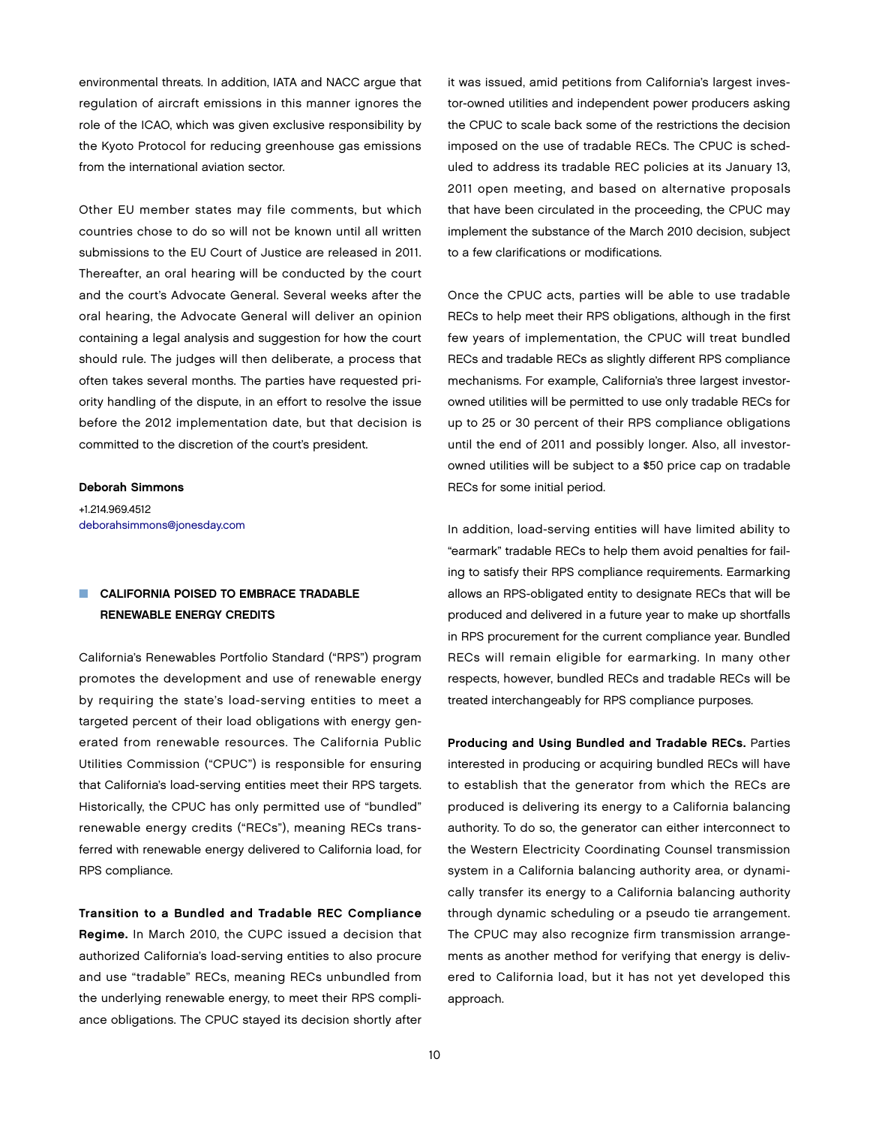environmental threats. In addition, IATA and NACC argue that regulation of aircraft emissions in this manner ignores the role of the ICAO, which was given exclusive responsibility by the Kyoto Protocol for reducing greenhouse gas emissions from the international aviation sector.

Other EU member states may file comments, but which countries chose to do so will not be known until all written submissions to the EU Court of Justice are released in 2011. Thereafter, an oral hearing will be conducted by the court and the court's Advocate General. Several weeks after the oral hearing, the Advocate General will deliver an opinion containing a legal analysis and suggestion for how the court should rule. The judges will then deliberate, a process that often takes several months. The parties have requested priority handling of the dispute, in an effort to resolve the issue before the 2012 implementation date, but that decision is committed to the discretion of the court's president.

### Deborah Simmons

+1.214.969.4512 [deborahsimmons@jonesday.com](mailto:deborahsimmons@jonesday.com)

# CALIFORNIA POISED TO EMBRACE TRADABLE Renewable Energy Credits

California's Renewables Portfolio Standard ("RPS") program promotes the development and use of renewable energy by requiring the state's load-serving entities to meet a targeted percent of their load obligations with energy generated from renewable resources. The California Public Utilities Commission ("CPUC") is responsible for ensuring that California's load-serving entities meet their RPS targets. Historically, the CPUC has only permitted use of "bundled" renewable energy credits ("RECs"), meaning RECs transferred with renewable energy delivered to California load, for RPS compliance.

Transition to a Bundled and Tradable REC Compliance Regime. In March 2010, the CUPC issued a decision that authorized California's load-serving entities to also procure and use "tradable" RECs, meaning RECs unbundled from the underlying renewable energy, to meet their RPS compliance obligations. The CPUC stayed its decision shortly after

it was issued, amid petitions from California's largest investor-owned utilities and independent power producers asking the CPUC to scale back some of the restrictions the decision imposed on the use of tradable RECs. The CPUC is scheduled to address its tradable REC policies at its January 13, 2011 open meeting, and based on alternative proposals that have been circulated in the proceeding, the CPUC may implement the substance of the March 2010 decision, subject to a few clarifications or modifications.

Once the CPUC acts, parties will be able to use tradable RECs to help meet their RPS obligations, although in the first few years of implementation, the CPUC will treat bundled RECs and tradable RECs as slightly different RPS compliance mechanisms. For example, California's three largest investorowned utilities will be permitted to use only tradable RECs for up to 25 or 30 percent of their RPS compliance obligations until the end of 2011 and possibly longer. Also, all investorowned utilities will be subject to a \$50 price cap on tradable RECs for some initial period.

In addition, load-serving entities will have limited ability to "earmark" tradable RECs to help them avoid penalties for failing to satisfy their RPS compliance requirements. Earmarking allows an RPS-obligated entity to designate RECs that will be produced and delivered in a future year to make up shortfalls in RPS procurement for the current compliance year. Bundled RECs will remain eligible for earmarking. In many other respects, however, bundled RECs and tradable RECs will be treated interchangeably for RPS compliance purposes.

Producing and Using Bundled and Tradable RECs. Parties interested in producing or acquiring bundled RECs will have to establish that the generator from which the RECs are produced is delivering its energy to a California balancing authority. To do so, the generator can either interconnect to the Western Electricity Coordinating Counsel transmission system in a California balancing authority area, or dynamically transfer its energy to a California balancing authority through dynamic scheduling or a pseudo tie arrangement. The CPUC may also recognize firm transmission arrangements as another method for verifying that energy is delivered to California load, but it has not yet developed this approach.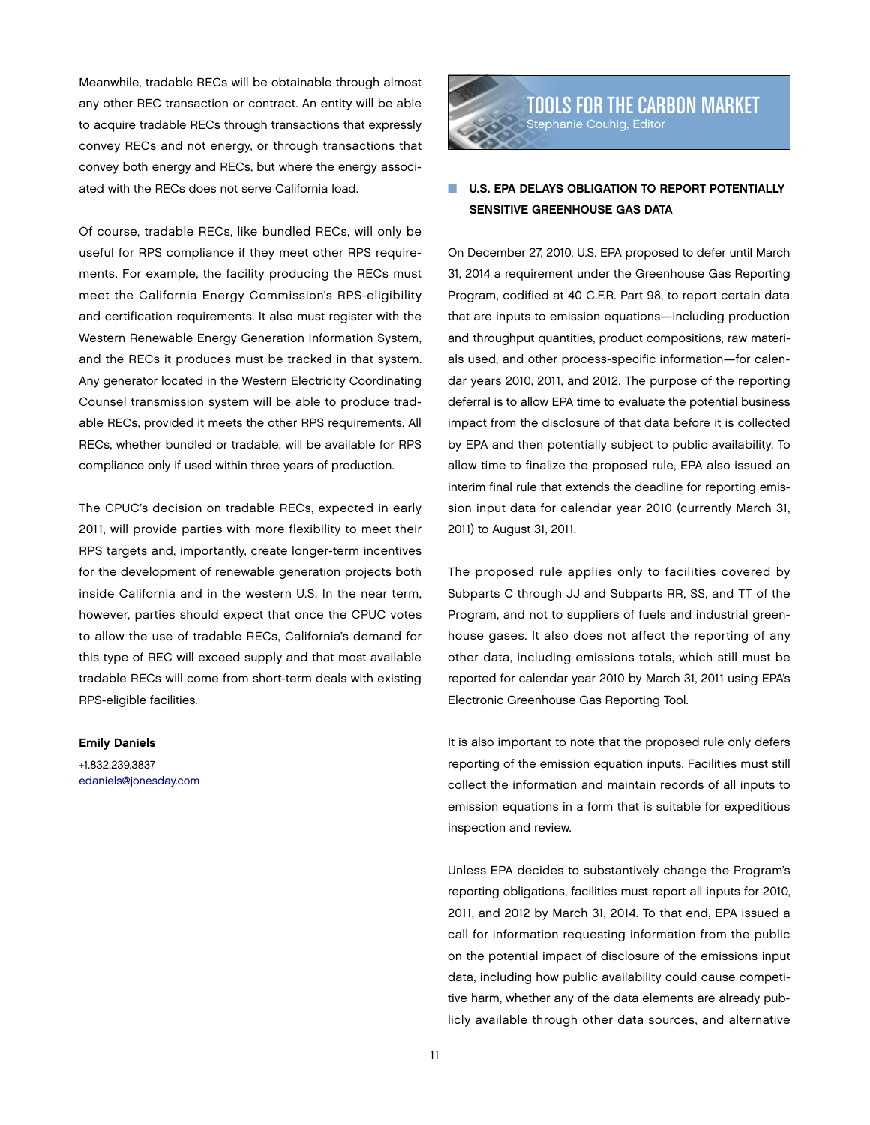Meanwhile, tradable RECs will be obtainable through almost any other REC transaction or contract. An entity will be able to acquire tradable RECs through transactions that expressly convey RECs and not energy, or through transactions that convey both energy and RECs, but where the energy associated with the RECs does not serve California load.

Of course, tradable RECs, like bundled RECs, will only be useful for RPS compliance if they meet other RPS requirements. For example, the facility producing the RECs must meet the California Energy Commission's RPS-eligibility and certification requirements. It also must register with the Western Renewable Energy Generation Information System, and the RECs it produces must be tracked in that system. Any generator located in the Western Electricity Coordinating Counsel transmission system will be able to produce tradable RECs, provided it meets the other RPS requirements. All RECs, whether bundled or tradable, will be available for RPS compliance only if used within three years of production.

The CPUC's decision on tradable RECs, expected in early 2011, will provide parties with more flexibility to meet their RPS targets and, importantly, create longer-term incentives for the development of renewable generation projects both inside California and in the western U.S. In the near term, however, parties should expect that once the CPUC votes to allow the use of tradable RECs, California's demand for this type of REC will exceed supply and that most available tradable RECs will come from short-term deals with existing RPS-eligible facilities.

### Emily Daniels

+1.832.239.3837 [edaniels@jonesday.com](mailto:edaniels@jonesday.com)



# U.S. EPA DELAYS OBLIGATION TO REPORT POTENTIALLY Sensitive Greenhouse Gas Data

On December 27, 2010, U.S. EPA proposed to defer until March 31, 2014 a requirement under the Greenhouse Gas Reporting Program, codified at 40 C.F.R. Part 98, to report certain data that are inputs to emission equations—including production and throughput quantities, product compositions, raw materials used, and other process-specific information—for calendar years 2010, 2011, and 2012. The purpose of the reporting deferral is to allow EPA time to evaluate the potential business impact from the disclosure of that data before it is collected by EPA and then potentially subject to public availability. To allow time to finalize the proposed rule, EPA also issued an interim final rule that extends the deadline for reporting emission input data for calendar year 2010 (currently March 31, 2011) to August 31, 2011.

The proposed rule applies only to facilities covered by Subparts C through JJ and Subparts RR, SS, and TT of the Program, and not to suppliers of fuels and industrial greenhouse gases. It also does not affect the reporting of any other data, including emissions totals, which still must be reported for calendar year 2010 by March 31, 2011 using EPA's Electronic Greenhouse Gas Reporting Tool.

It is also important to note that the proposed rule only defers reporting of the emission equation inputs. Facilities must still collect the information and maintain records of all inputs to emission equations in a form that is suitable for expeditious inspection and review.

Unless EPA decides to substantively change the Program's reporting obligations, facilities must report all inputs for 2010, 2011, and 2012 by March 31, 2014. To that end, EPA issued a call for information requesting information from the public on the potential impact of disclosure of the emissions input data, including how public availability could cause competitive harm, whether any of the data elements are already publicly available through other data sources, and alternative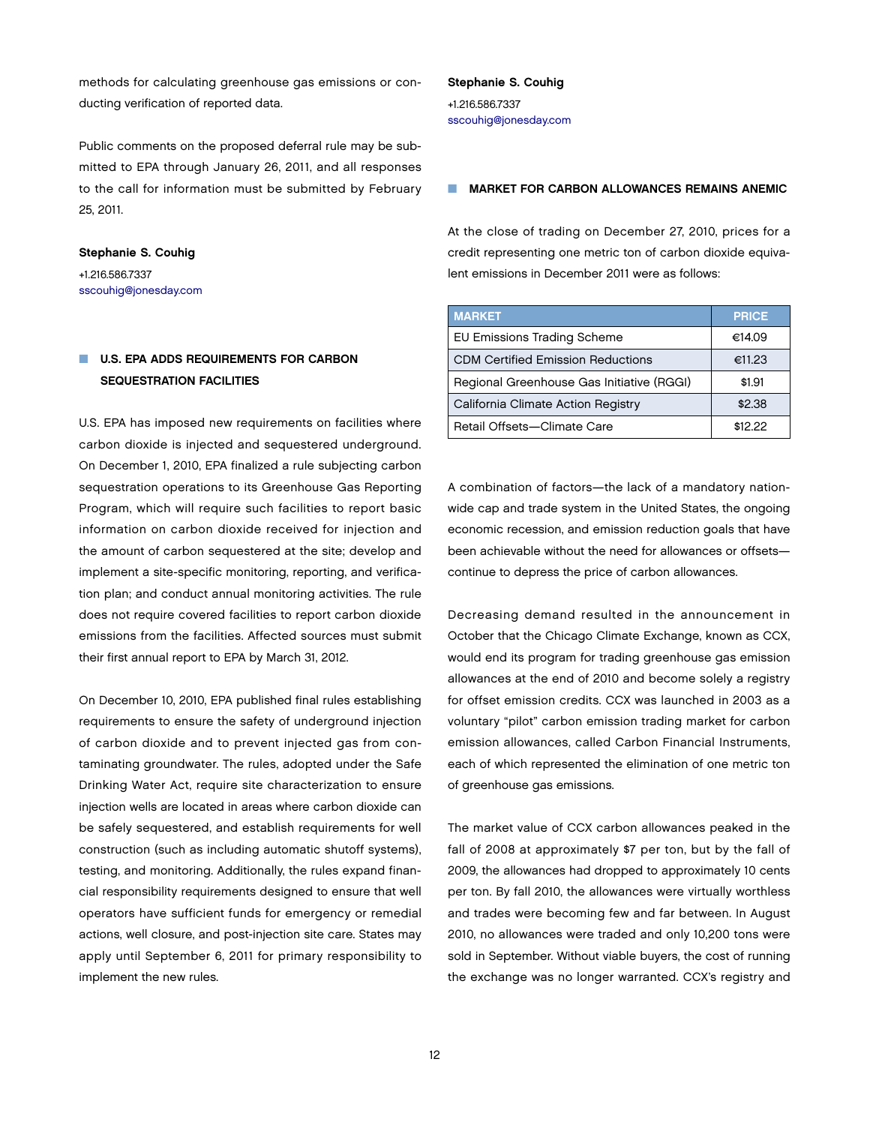methods for calculating greenhouse gas emissions or conducting verification of reported data.

Public comments on the proposed deferral rule may be submitted to EPA through January 26, 2011, and all responses to the call for information must be submitted by February 25, 2011.

Stephanie S. Couhig +1.216.586.7337 [sscouhig@jonesday.com](mailto:sscouhig@jonesday.com)

# U.S. EPA ADDS REQUIREMENTS FOR CARBON Sequestration Facilities

U.S. EPA has imposed new requirements on facilities where carbon dioxide is injected and sequestered underground. On December 1, 2010, EPA finalized a rule subjecting carbon sequestration operations to its Greenhouse Gas Reporting Program, which will require such facilities to report basic information on carbon dioxide received for injection and the amount of carbon sequestered at the site; develop and implement a site-specific monitoring, reporting, and verification plan; and conduct annual monitoring activities. The rule does not require covered facilities to report carbon dioxide emissions from the facilities. Affected sources must submit their first annual report to EPA by March 31, 2012.

On December 10, 2010, EPA published final rules establishing requirements to ensure the safety of underground injection of carbon dioxide and to prevent injected gas from contaminating groundwater. The rules, adopted under the Safe Drinking Water Act, require site characterization to ensure injection wells are located in areas where carbon dioxide can be safely sequestered, and establish requirements for well construction (such as including automatic shutoff systems), testing, and monitoring. Additionally, the rules expand financial responsibility requirements designed to ensure that well operators have sufficient funds for emergency or remedial actions, well closure, and post-injection site care. States may apply until September 6, 2011 for primary responsibility to implement the new rules.

### Stephanie S. Couhig +1.216.586.7337 [sscouhig@jonesday.com](mailto:sscouhig@jonesday.com)

### **MARKET FOR CARBON ALLOWANCES REMAINS ANEMIC**

At the close of trading on December 27, 2010, prices for a credit representing one metric ton of carbon dioxide equivalent emissions in December 2011 were as follows:

| <b>MARKET</b>                             | <b>PRICE</b> |
|-------------------------------------------|--------------|
| <b>EU Emissions Trading Scheme</b>        | €14.09       |
| <b>CDM Certified Emission Reductions</b>  | €11.23       |
| Regional Greenhouse Gas Initiative (RGGI) | \$1.91       |
| California Climate Action Registry        | \$2.38       |
| Retail Offsets-Climate Care               | \$12.22      |

A combination of factors—the lack of a mandatory nationwide cap and trade system in the United States, the ongoing economic recession, and emission reduction goals that have been achievable without the need for allowances or offsets continue to depress the price of carbon allowances.

Decreasing demand resulted in the announcement in October that the Chicago Climate Exchange, known as CCX, would end its program for trading greenhouse gas emission allowances at the end of 2010 and become solely a registry for offset emission credits. CCX was launched in 2003 as a voluntary "pilot" carbon emission trading market for carbon emission allowances, called Carbon Financial Instruments, each of which represented the elimination of one metric ton of greenhouse gas emissions.

The market value of CCX carbon allowances peaked in the fall of 2008 at approximately \$7 per ton, but by the fall of 2009, the allowances had dropped to approximately 10 cents per ton. By fall 2010, the allowances were virtually worthless and trades were becoming few and far between. In August 2010, no allowances were traded and only 10,200 tons were sold in September. Without viable buyers, the cost of running the exchange was no longer warranted. CCX's registry and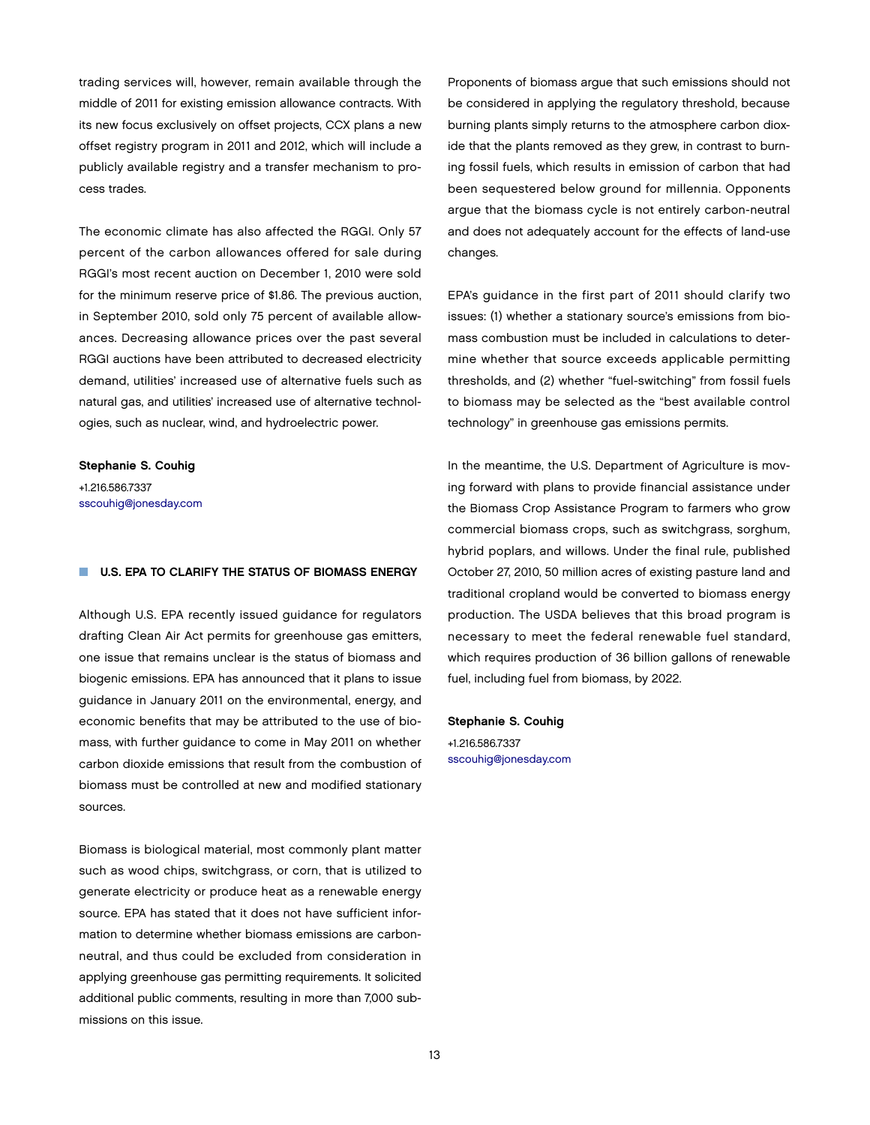trading services will, however, remain available through the middle of 2011 for existing emission allowance contracts. With its new focus exclusively on offset projects, CCX plans a new offset registry program in 2011 and 2012, which will include a publicly available registry and a transfer mechanism to process trades.

The economic climate has also affected the RGGI. Only 57 percent of the carbon allowances offered for sale during RGGI's most recent auction on December 1, 2010 were sold for the minimum reserve price of \$1.86. The previous auction, in September 2010, sold only 75 percent of available allowances. Decreasing allowance prices over the past several RGGI auctions have been attributed to decreased electricity demand, utilities' increased use of alternative fuels such as natural gas, and utilities' increased use of alternative technologies, such as nuclear, wind, and hydroelectric power.

#### Stephanie S. Couhig

+1.216.586.7337 [sscouhig@jonesday.com](mailto:sscouhig@jonesday.com)

### $\blacksquare$  U.S. EPA TO CLARIFY THE STATUS OF BIOMASS ENERGY

Although U.S. EPA recently issued guidance for regulators drafting Clean Air Act permits for greenhouse gas emitters, one issue that remains unclear is the status of biomass and biogenic emissions. EPA has announced that it plans to issue guidance in January 2011 on the environmental, energy, and economic benefits that may be attributed to the use of biomass, with further guidance to come in May 2011 on whether carbon dioxide emissions that result from the combustion of biomass must be controlled at new and modified stationary sources.

Biomass is biological material, most commonly plant matter such as wood chips, switchgrass, or corn, that is utilized to generate electricity or produce heat as a renewable energy source. EPA has stated that it does not have sufficient information to determine whether biomass emissions are carbonneutral, and thus could be excluded from consideration in applying greenhouse gas permitting requirements. It solicited additional public comments, resulting in more than 7,000 submissions on this issue.

Proponents of biomass argue that such emissions should not be considered in applying the regulatory threshold, because burning plants simply returns to the atmosphere carbon dioxide that the plants removed as they grew, in contrast to burning fossil fuels, which results in emission of carbon that had been sequestered below ground for millennia. Opponents argue that the biomass cycle is not entirely carbon-neutral and does not adequately account for the effects of land-use changes.

EPA's guidance in the first part of 2011 should clarify two issues: (1) whether a stationary source's emissions from biomass combustion must be included in calculations to determine whether that source exceeds applicable permitting thresholds, and (2) whether "fuel-switching" from fossil fuels to biomass may be selected as the "best available control technology" in greenhouse gas emissions permits.

In the meantime, the U.S. Department of Agriculture is moving forward with plans to provide financial assistance under the Biomass Crop Assistance Program to farmers who grow commercial biomass crops, such as switchgrass, sorghum, hybrid poplars, and willows. Under the final rule, published October 27, 2010, 50 million acres of existing pasture land and traditional cropland would be converted to biomass energy production. The USDA believes that this broad program is necessary to meet the federal renewable fuel standard, which requires production of 36 billion gallons of renewable fuel, including fuel from biomass, by 2022.

### Stephanie S. Couhig

+1.216.586.7337 [sscouhig@jonesday.com](mailto:sscouhig@jonesday.com)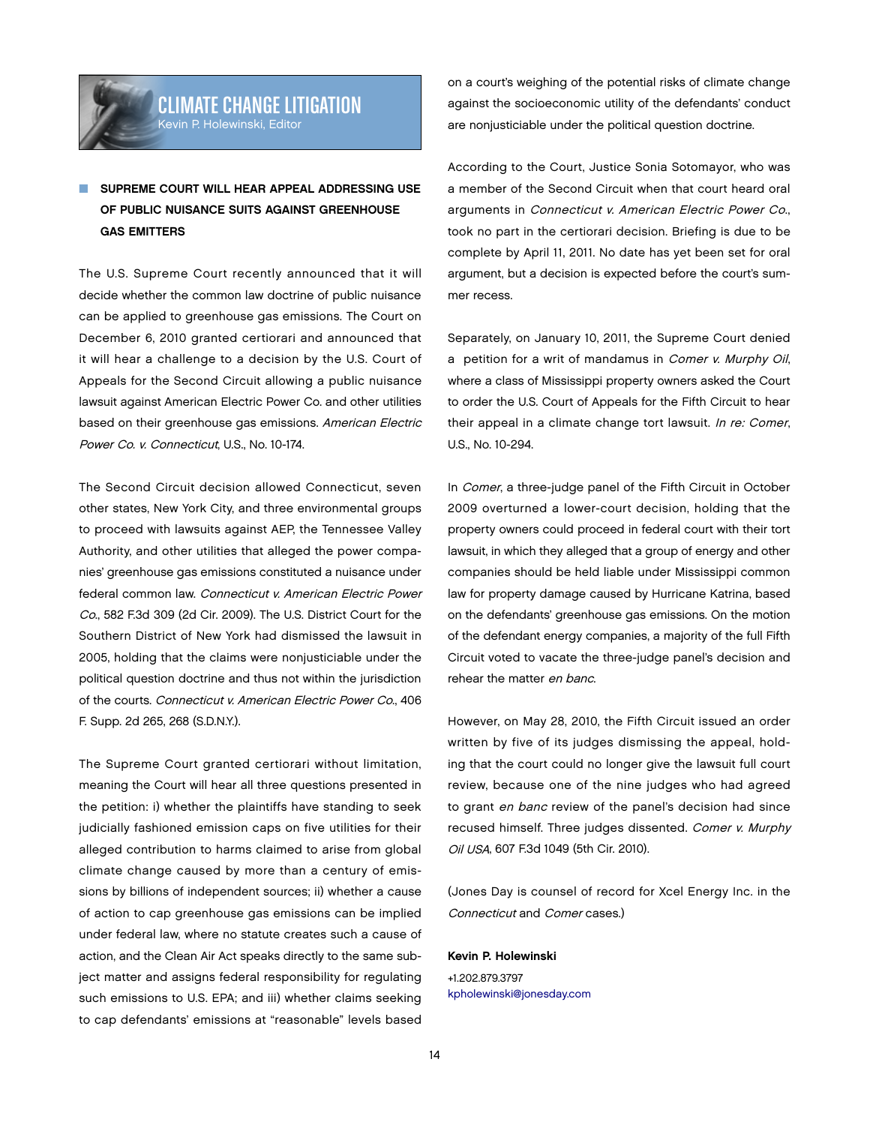# Climate Change litigation Kevin P. Holewinski, Editor

# SUPREME COURT WILL HEAR APPEAL ADDRESSING USE of Public Nuisance Suits Against Greenhouse **GAS EMITTERS**

The U.S. Supreme Court recently announced that it will decide whether the common law doctrine of public nuisance can be applied to greenhouse gas emissions. The Court on December 6, 2010 granted certiorari and announced that it will hear a challenge to a decision by the U.S. Court of Appeals for the Second Circuit allowing a public nuisance lawsuit against American Electric Power Co. and other utilities based on their greenhouse gas emissions. American Electric Power Co. v. Connecticut, U.S., No. 10-174.

The Second Circuit decision allowed Connecticut, seven other states, New York City, and three environmental groups to proceed with lawsuits against AEP, the Tennessee Valley Authority, and other utilities that alleged the power companies' greenhouse gas emissions constituted a nuisance under federal common law. Connecticut v. American Electric Power Co., 582 F.3d 309 (2d Cir. 2009). The U.S. District Court for the Southern District of New York had dismissed the lawsuit in 2005, holding that the claims were nonjusticiable under the political question doctrine and thus not within the jurisdiction of the courts. Connecticut v. American Electric Power Co., 406 F. Supp. 2d 265, 268 (S.D.N.Y.).

The Supreme Court granted certiorari without limitation, meaning the Court will hear all three questions presented in the petition: i) whether the plaintiffs have standing to seek judicially fashioned emission caps on five utilities for their alleged contribution to harms claimed to arise from global climate change caused by more than a century of emissions by billions of independent sources; ii) whether a cause of action to cap greenhouse gas emissions can be implied under federal law, where no statute creates such a cause of action, and the Clean Air Act speaks directly to the same subject matter and assigns federal responsibility for regulating such emissions to U.S. EPA; and iii) whether claims seeking to cap defendants' emissions at "reasonable" levels based

on a court's weighing of the potential risks of climate change against the socioeconomic utility of the defendants' conduct are nonjusticiable under the political question doctrine.

According to the Court, Justice Sonia Sotomayor, who was a member of the Second Circuit when that court heard oral arguments in Connecticut v. American Electric Power Co., took no part in the certiorari decision. Briefing is due to be complete by April 11, 2011. No date has yet been set for oral argument, but a decision is expected before the court's summer recess.

Separately, on January 10, 2011, the Supreme Court denied a petition for a writ of mandamus in Comer v. Murphy Oil, where a class of Mississippi property owners asked the Court to order the U.S. Court of Appeals for the Fifth Circuit to hear their appeal in a climate change tort lawsuit. In re: Comer, U.S., No. 10-294.

In Comer, a three-judge panel of the Fifth Circuit in October 2009 overturned a lower-court decision, holding that the property owners could proceed in federal court with their tort lawsuit, in which they alleged that a group of energy and other companies should be held liable under Mississippi common law for property damage caused by Hurricane Katrina, based on the defendants' greenhouse gas emissions. On the motion of the defendant energy companies, a majority of the full Fifth Circuit voted to vacate the three-judge panel's decision and rehear the matter en banc.

However, on May 28, 2010, the Fifth Circuit issued an order written by five of its judges dismissing the appeal, holding that the court could no longer give the lawsuit full court review, because one of the nine judges who had agreed to grant en banc review of the panel's decision had since recused himself. Three judges dissented. Comer v. Murphy Oil USA, 607 F.3d 1049 (5th Cir. 2010).

(Jones Day is counsel of record for Xcel Energy Inc. in the Connecticut and Comer cases.)

### Kevin P. Holewinski

+1.202.879.3797 [kpholewinski@jonesday.com](mailto:kpholewinski@jonesday.com)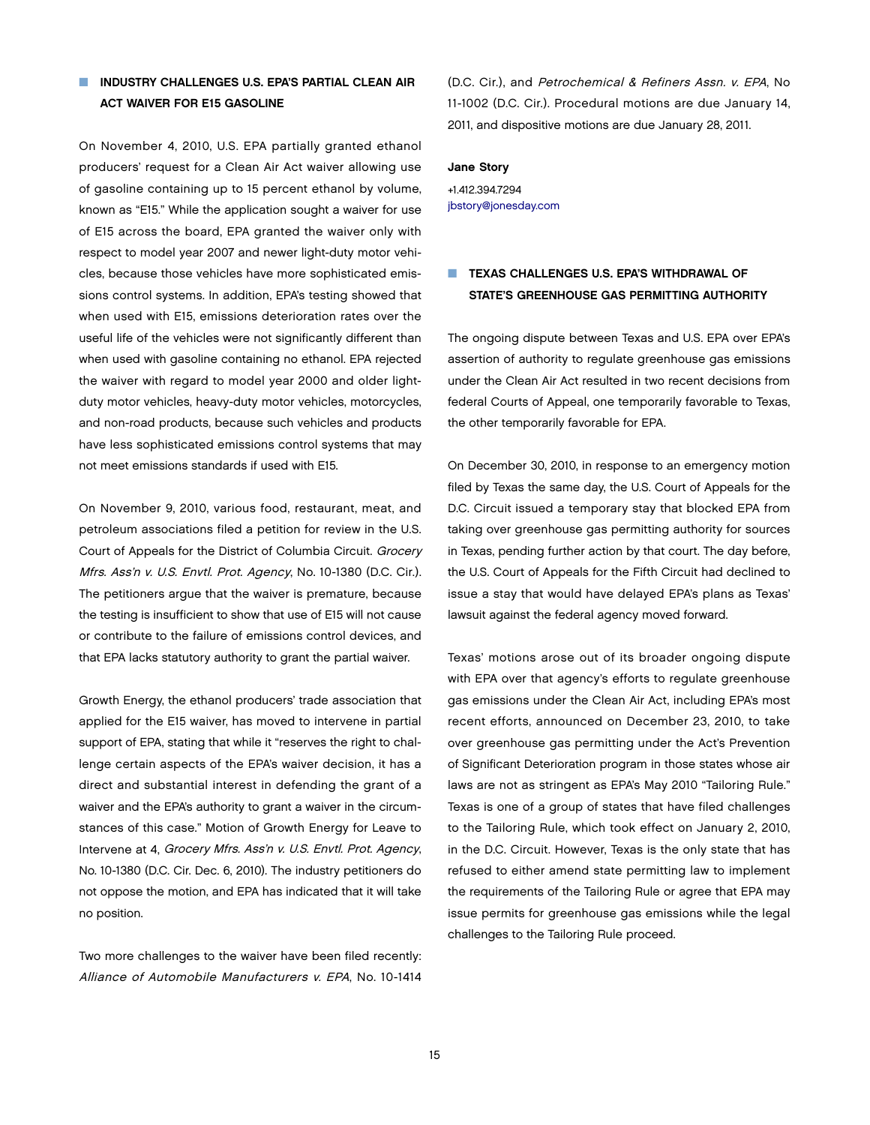### **NUINDUSTRY CHALLENGES U.S. EPA'S PARTIAL CLEAN AIR ACT WAIVER FOR E15 GASOLINE**

On November 4, 2010, U.S. EPA partially granted ethanol producers' request for a Clean Air Act waiver allowing use of gasoline containing up to 15 percent ethanol by volume, known as "E15." While the application sought a waiver for use of E15 across the board, EPA granted the waiver only with respect to model year 2007 and newer light-duty motor vehicles, because those vehicles have more sophisticated emissions control systems. In addition, EPA's testing showed that when used with E15, emissions deterioration rates over the useful life of the vehicles were not significantly different than when used with gasoline containing no ethanol. EPA rejected the waiver with regard to model year 2000 and older lightduty motor vehicles, heavy-duty motor vehicles, motorcycles, and non-road products, because such vehicles and products have less sophisticated emissions control systems that may not meet emissions standards if used with E15.

On November 9, 2010, various food, restaurant, meat, and petroleum associations filed a petition for review in the U.S. Court of Appeals for the District of Columbia Circuit. Grocery Mfrs. Ass'n v. U.S. Envtl. Prot. Agency, No. 10-1380 (D.C. Cir.). The petitioners argue that the waiver is premature, because the testing is insufficient to show that use of E15 will not cause or contribute to the failure of emissions control devices, and that EPA lacks statutory authority to grant the partial waiver.

Growth Energy, the ethanol producers' trade association that applied for the E15 waiver, has moved to intervene in partial support of EPA, stating that while it "reserves the right to challenge certain aspects of the EPA's waiver decision, it has a direct and substantial interest in defending the grant of a waiver and the EPA's authority to grant a waiver in the circumstances of this case." Motion of Growth Energy for Leave to Intervene at 4, Grocery Mfrs. Ass'n v. U.S. Envtl. Prot. Agency, No. 10-1380 (D.C. Cir. Dec. 6, 2010). The industry petitioners do not oppose the motion, and EPA has indicated that it will take no position.

Two more challenges to the waiver have been filed recently: Alliance of Automobile Manufacturers v. EPA, No. 10-1414 (D.C. Cir.), and Petrochemical & Refiners Assn. v. EPA, No 11-1002 (D.C. Cir.). Procedural motions are due January 14, 2011, and dispositive motions are due January 28, 2011.

#### Jane Story

+1.412.394.7294 [jbstory@jonesday.com](mailto:jbstory@jonesday.com)

## **NUME TEXAS CHALLENGES U.S. EPA'S WITHDRAWAL OF** State's Greenhouse Gas Permitting Authority

The ongoing dispute between Texas and U.S. EPA over EPA's assertion of authority to regulate greenhouse gas emissions under the Clean Air Act resulted in two recent decisions from federal Courts of Appeal, one temporarily favorable to Texas, the other temporarily favorable for EPA.

On December 30, 2010, in response to an emergency motion filed by Texas the same day, the U.S. Court of Appeals for the D.C. Circuit issued a temporary stay that blocked EPA from taking over greenhouse gas permitting authority for sources in Texas, pending further action by that court. The day before, the U.S. Court of Appeals for the Fifth Circuit had declined to issue a stay that would have delayed EPA's plans as Texas' lawsuit against the federal agency moved forward.

Texas' motions arose out of its broader ongoing dispute with EPA over that agency's efforts to regulate greenhouse gas emissions under the Clean Air Act, including EPA's most recent efforts, announced on December 23, 2010, to take over greenhouse gas permitting under the Act's Prevention of Significant Deterioration program in those states whose air laws are not as stringent as EPA's May 2010 "Tailoring Rule." Texas is one of a group of states that have filed challenges to the Tailoring Rule, which took effect on January 2, 2010, in the D.C. Circuit. However, Texas is the only state that has refused to either amend state permitting law to implement the requirements of the Tailoring Rule or agree that EPA may issue permits for greenhouse gas emissions while the legal challenges to the Tailoring Rule proceed.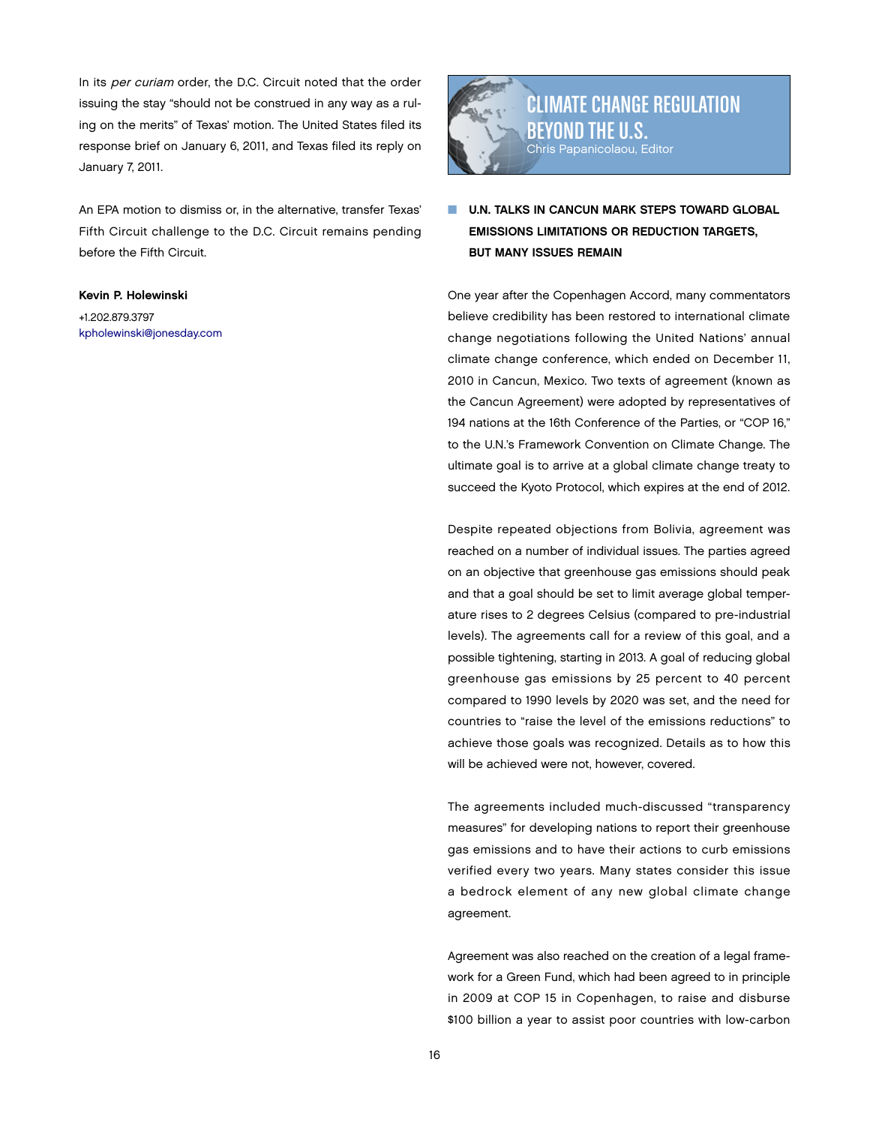In its per curiam order, the D.C. Circuit noted that the order issuing the stay "should not be construed in any way as a ruling on the merits" of Texas' motion. The United States filed its response brief on January 6, 2011, and Texas filed its reply on January 7, 2011.

An EPA motion to dismiss or, in the alternative, transfer Texas' Fifth Circuit challenge to the D.C. Circuit remains pending before the Fifth Circuit.

### Kevin P. Holewinski

+1.202.879.3797 [kpholewinski@jonesday.com](mailto:kpholewinski@jonesday.com)



U.N. TALKS IN CANCUN MARK STEPS TOWARD GLOBAL Emissions Limitations or Reduction Targets, **BUT MANY ISSUES REMAIN** 

One year after the Copenhagen Accord, many commentators believe credibility has been restored to international climate change negotiations following the United Nations' annual climate change conference, which ended on December 11, 2010 in Cancun, Mexico. Two texts of agreement (known as the Cancun Agreement) were adopted by representatives of 194 nations at the 16th Conference of the Parties, or "COP 16," to the U.N.'s Framework Convention on Climate Change. The ultimate goal is to arrive at a global climate change treaty to succeed the Kyoto Protocol, which expires at the end of 2012.

Despite repeated objections from Bolivia, agreement was reached on a number of individual issues. The parties agreed on an objective that greenhouse gas emissions should peak and that a goal should be set to limit average global temperature rises to 2 degrees Celsius (compared to pre-industrial levels). The agreements call for a review of this goal, and a possible tightening, starting in 2013. A goal of reducing global greenhouse gas emissions by 25 percent to 40 percent compared to 1990 levels by 2020 was set, and the need for countries to "raise the level of the emissions reductions" to achieve those goals was recognized. Details as to how this will be achieved were not, however, covered.

The agreements included much-discussed "transparency measures" for developing nations to report their greenhouse gas emissions and to have their actions to curb emissions verified every two years. Many states consider this issue a bedrock element of any new global climate change agreement.

Agreement was also reached on the creation of a legal framework for a Green Fund, which had been agreed to in principle in 2009 at COP 15 in Copenhagen, to raise and disburse \$100 billion a year to assist poor countries with low-carbon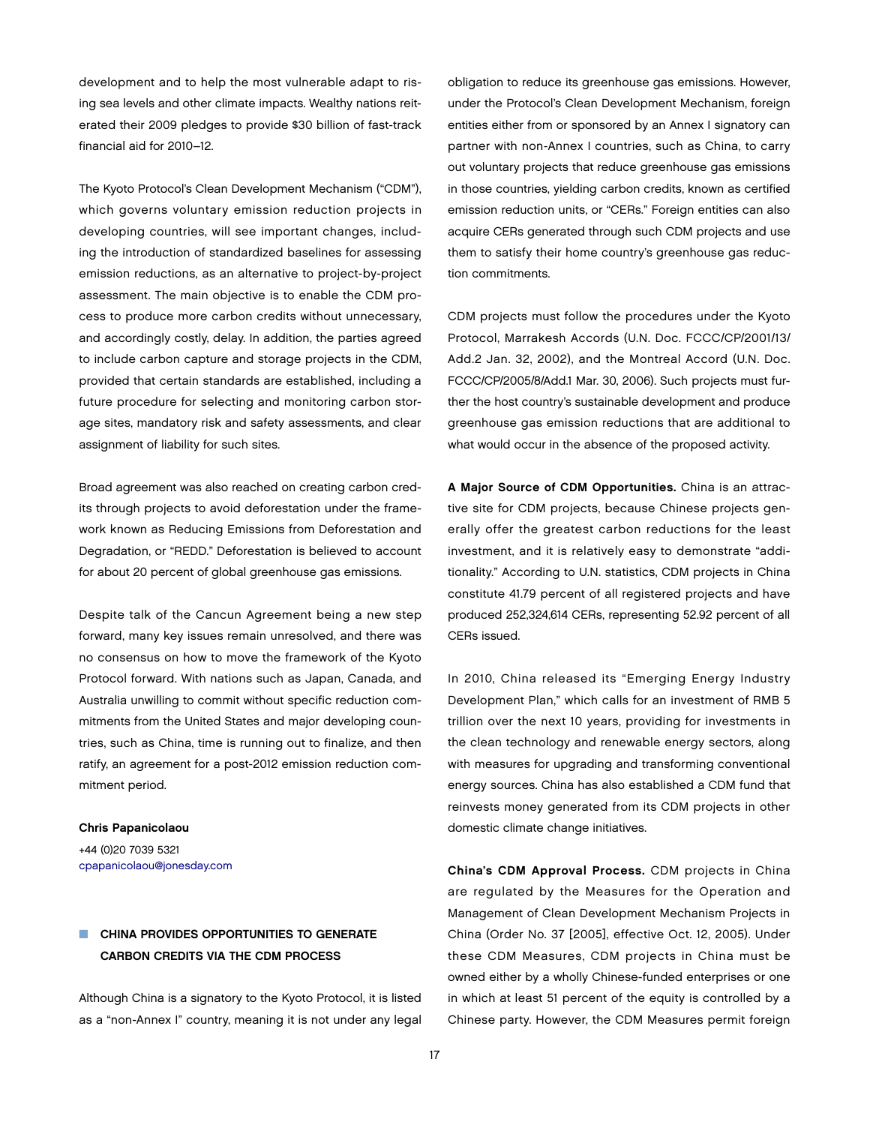development and to help the most vulnerable adapt to rising sea levels and other climate impacts. Wealthy nations reiterated their 2009 pledges to provide \$30 billion of fast-track financial aid for 2010–12.

The Kyoto Protocol's Clean Development Mechanism ("CDM"), which governs voluntary emission reduction projects in developing countries, will see important changes, including the introduction of standardized baselines for assessing emission reductions, as an alternative to project-by-project assessment. The main objective is to enable the CDM process to produce more carbon credits without unnecessary, and accordingly costly, delay. In addition, the parties agreed to include carbon capture and storage projects in the CDM, provided that certain standards are established, including a future procedure for selecting and monitoring carbon storage sites, mandatory risk and safety assessments, and clear assignment of liability for such sites.

Broad agreement was also reached on creating carbon credits through projects to avoid deforestation under the framework known as Reducing Emissions from Deforestation and Degradation, or "REDD." Deforestation is believed to account for about 20 percent of global greenhouse gas emissions.

Despite talk of the Cancun Agreement being a new step forward, many key issues remain unresolved, and there was no consensus on how to move the framework of the Kyoto Protocol forward. With nations such as Japan, Canada, and Australia unwilling to commit without specific reduction commitments from the United States and major developing countries, such as China, time is running out to finalize, and then ratify, an agreement for a post-2012 emission reduction commitment period.

#### Chris Papanicolaou

+44 (0)20 7039 5321 [cpapanicolaou@jonesday.com](mailto:cpapanicolaou@jonesday.com)

# CHINA PROVIDES OPPORTUNITIES TO GENERATE Carbon Credits Via the CDM Process

Although China is a signatory to the Kyoto Protocol, it is listed as a "non-Annex I" country, meaning it is not under any legal obligation to reduce its greenhouse gas emissions. However, under the Protocol's Clean Development Mechanism, foreign entities either from or sponsored by an Annex I signatory can partner with non-Annex I countries, such as China, to carry out voluntary projects that reduce greenhouse gas emissions in those countries, yielding carbon credits, known as certified emission reduction units, or "CERs." Foreign entities can also acquire CERs generated through such CDM projects and use them to satisfy their home country's greenhouse gas reduction commitments.

CDM projects must follow the procedures under the Kyoto Protocol, Marrakesh Accords (U.N. Doc. FCCC/CP/2001/13/ Add.2 Jan. 32, 2002), and the Montreal Accord (U.N. Doc. FCCC/CP/2005/8/Add.1 Mar. 30, 2006). Such projects must further the host country's sustainable development and produce greenhouse gas emission reductions that are additional to what would occur in the absence of the proposed activity.

A Major Source of CDM Opportunities. China is an attractive site for CDM projects, because Chinese projects generally offer the greatest carbon reductions for the least investment, and it is relatively easy to demonstrate "additionality." According to U.N. statistics, CDM projects in China constitute 41.79 percent of all registered projects and have produced 252,324,614 CERs, representing 52.92 percent of all CERs issued.

In 2010, China released its "Emerging Energy Industry Development Plan," which calls for an investment of RMB 5 trillion over the next 10 years, providing for investments in the clean technology and renewable energy sectors, along with measures for upgrading and transforming conventional energy sources. China has also established a CDM fund that reinvests money generated from its CDM projects in other domestic climate change initiatives.

China's CDM Approval Process. CDM projects in China are regulated by the Measures for the Operation and Management of Clean Development Mechanism Projects in China (Order No. 37 [2005], effective Oct. 12, 2005). Under these CDM Measures, CDM projects in China must be owned either by a wholly Chinese-funded enterprises or one in which at least 51 percent of the equity is controlled by a Chinese party. However, the CDM Measures permit foreign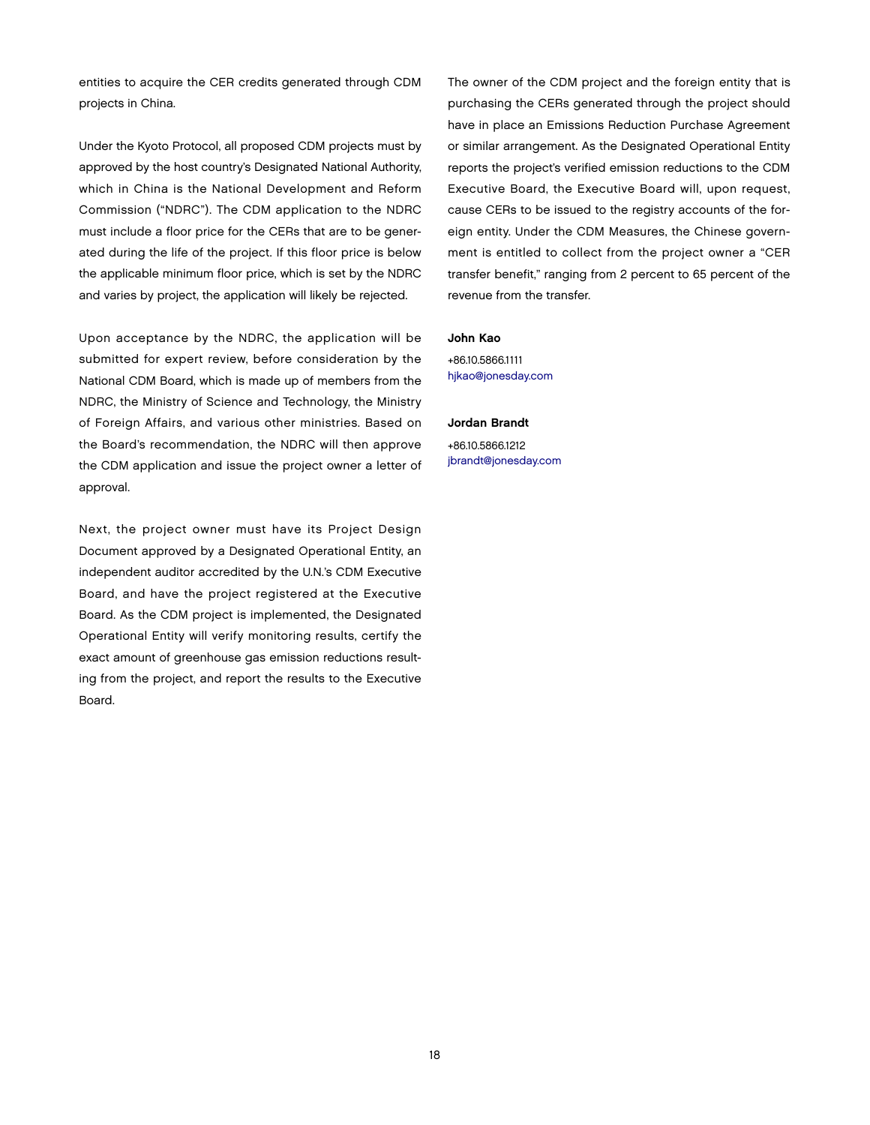entities to acquire the CER credits generated through CDM projects in China.

Under the Kyoto Protocol, all proposed CDM projects must by approved by the host country's Designated National Authority, which in China is the National Development and Reform Commission ("NDRC"). The CDM application to the NDRC must include a floor price for the CERs that are to be generated during the life of the project. If this floor price is below the applicable minimum floor price, which is set by the NDRC and varies by project, the application will likely be rejected.

Upon acceptance by the NDRC, the application will be submitted for expert review, before consideration by the National CDM Board, which is made up of members from the NDRC, the Ministry of Science and Technology, the Ministry of Foreign Affairs, and various other ministries. Based on the Board's recommendation, the NDRC will then approve the CDM application and issue the project owner a letter of approval.

Next, the project owner must have its Project Design Document approved by a Designated Operational Entity, an independent auditor accredited by the U.N.'s CDM Executive Board, and have the project registered at the Executive Board. As the CDM project is implemented, the Designated Operational Entity will verify monitoring results, certify the exact amount of greenhouse gas emission reductions resulting from the project, and report the results to the Executive Board.

The owner of the CDM project and the foreign entity that is purchasing the CERs generated through the project should have in place an Emissions Reduction Purchase Agreement or similar arrangement. As the Designated Operational Entity reports the project's verified emission reductions to the CDM Executive Board, the Executive Board will, upon request, cause CERs to be issued to the registry accounts of the foreign entity. Under the CDM Measures, the Chinese government is entitled to collect from the project owner a "CER transfer benefit," ranging from 2 percent to 65 percent of the revenue from the transfer.

### John Kao

+86.10.5866.1111 [hjkao@jonesday.com](mailto:hjkao@jonesday.com)

### Jordan Brandt

+86.10.5866.1212 [jbrandt@jonesday.com](mailto:jbrandt@jonesday.com)